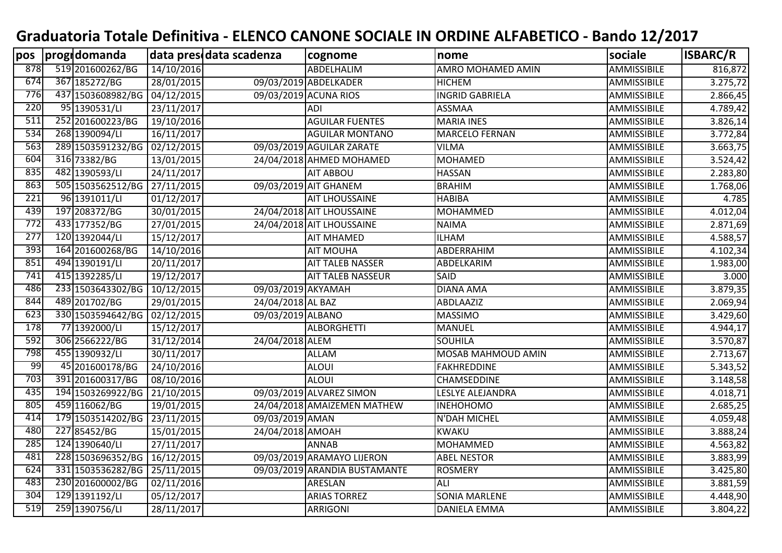## **Graduatoria Totale Definitiva - ELENCO CANONE SOCIALE IN ORDINE ALFABETICO - Bando 12/2017**

| pos | progrdomanda      |            | data pres data scadenza | cognome                       | nome                      | sociale            | ISBARC/R |
|-----|-------------------|------------|-------------------------|-------------------------------|---------------------------|--------------------|----------|
| 878 | 519 201600262/BG  | 14/10/2016 |                         | ABDELHALIM                    | AMRO MOHAMED AMIN         | <b>AMMISSIBILE</b> | 816,872  |
| 674 | 367 185272/BG     | 28/01/2015 |                         | 09/03/2019 ABDELKADER         | <b>HICHEM</b>             | AMMISSIBILE        | 3.275,72 |
| 776 | 437 1503608982/BG | 04/12/2015 |                         | 09/03/2019 ACUNA RIOS         | <b>INGRID GABRIELA</b>    | AMMISSIBILE        | 2.866,45 |
| 220 | 95 1390531/LI     | 23/11/2017 |                         | <b>ADI</b>                    | <b>ASSMAA</b>             | AMMISSIBILE        | 4.789,42 |
| 511 | 252 201600223/BG  | 19/10/2016 |                         | <b>AGUILAR FUENTES</b>        | <b>MARIA INES</b>         | AMMISSIBILE        | 3.826,14 |
| 534 | 268 1390094/LI    | 16/11/2017 |                         | <b>AGUILAR MONTANO</b>        | <b>MARCELO FERNAN</b>     | AMMISSIBILE        | 3.772,84 |
| 563 | 289 1503591232/BG | 02/12/2015 |                         | 09/03/2019 AGUILAR ZARATE     | <b>VILMA</b>              | AMMISSIBILE        | 3.663,75 |
| 604 | 316 73382/BG      | 13/01/2015 |                         | 24/04/2018 AHMED MOHAMED      | <b>MOHAMED</b>            | AMMISSIBILE        | 3.524,42 |
| 835 | 482 1390593/LI    | 24/11/2017 |                         | <b>AIT ABBOU</b>              | <b>HASSAN</b>             | AMMISSIBILE        | 2.283,80 |
| 863 | 505 1503562512/BG | 27/11/2015 |                         | 09/03/2019 AIT GHANEM         | <b>BRAHIM</b>             | AMMISSIBILE        | 1.768,06 |
| 221 | $96$ 1391011/LI   | 01/12/2017 |                         | <b>AIT LHOUSSAINE</b>         | <b>HABIBA</b>             | AMMISSIBILE        | 4.785    |
| 439 | 197 208372/BG     | 30/01/2015 |                         | 24/04/2018 AIT LHOUSSAINE     | <b>MOHAMMED</b>           | AMMISSIBILE        | 4.012,04 |
| 772 | 433 177352/BG     | 27/01/2015 |                         | 24/04/2018 AIT LHOUSSAINE     | <b>NAIMA</b>              | AMMISSIBILE        | 2.871,69 |
| 277 | 120 1392044/LI    | 15/12/2017 |                         | <b>AIT MHAMED</b>             | <b>ILHAM</b>              | AMMISSIBILE        | 4.588,57 |
| 393 | 164 201600268/BG  | 14/10/2016 |                         | <b>AIT MOUHA</b>              | ABDERRAHIM                | AMMISSIBILE        | 4.102,34 |
| 851 | 494 1390191/LI    | 20/11/2017 |                         | <b>AIT TALEB NASSER</b>       | ABDELKARIM                | <b>AMMISSIBILE</b> | 1.983,00 |
| 741 | 415 1392285/LI    | 19/12/2017 |                         | <b>AIT TALEB NASSEUR</b>      | SAID                      | AMMISSIBILE        | 3.000    |
| 486 | 233 1503643302/BG | 10/12/2015 | 09/03/2019 AKYAMAH      |                               | <b>DIANA AMA</b>          | <b>AMMISSIBILE</b> | 3.879,35 |
| 844 | 489 201702/BG     | 29/01/2015 | 24/04/2018 AL BAZ       |                               | ABDLAAZIZ                 | AMMISSIBILE        | 2.069,94 |
| 623 | 330 1503594642/BG | 02/12/2015 | 09/03/2019 ALBANO       |                               | <b>MASSIMO</b>            | AMMISSIBILE        | 3.429,60 |
| 178 | 77 1392000/LI     | 15/12/2017 |                         | <b>ALBORGHETTI</b>            | <b>MANUEL</b>             | AMMISSIBILE        | 4.944,17 |
| 592 | 306 2566222/BG    | 31/12/2014 | 24/04/2018 ALEM         |                               | <b>SOUHILA</b>            | AMMISSIBILE        | 3.570,87 |
| 798 | 455 1390932/LI    | 30/11/2017 |                         | <b>ALLAM</b>                  | <b>MOSAB MAHMOUD AMIN</b> | <b>AMMISSIBILE</b> | 2.713,67 |
| 99  | 45 201600178/BG   | 24/10/2016 |                         | <b>ALOUI</b>                  | <b>FAKHREDDINE</b>        | AMMISSIBILE        | 5.343,52 |
| 703 | 391 201600317/BG  | 08/10/2016 |                         | <b>ALOUI</b>                  | <b>CHAMSEDDINE</b>        | AMMISSIBILE        | 3.148,58 |
| 435 | 194 1503269922/BG | 21/10/2015 |                         | 09/03/2019 ALVAREZ SIMON      | LESLYE ALEJANDRA          | AMMISSIBILE        | 4.018,71 |
| 805 | 459 116062/BG     | 19/01/2015 |                         | 24/04/2018 AMAIZEMEN MATHEW   | <b>INEHOHOMO</b>          | AMMISSIBILE        | 2.685,25 |
| 414 | 179 1503514202/BG | 23/11/2015 | 09/03/2019 AMAN         |                               | N'DAH MICHEL              | <b>AMMISSIBILE</b> | 4.059,48 |
| 480 | 227 85452/BG      | 15/01/2015 | 24/04/2018 AMOAH        |                               | <b>KWAKU</b>              | <b>AMMISSIBILE</b> | 3.888,24 |
| 285 | 124 1390640/LI    | 27/11/2017 |                         | <b>ANNAB</b>                  | <b>MOHAMMED</b>           | <b>AMMISSIBILE</b> | 4.563,82 |
| 481 | 228 1503696352/BG | 16/12/2015 |                         | 09/03/2019 ARAMAYO LIJERON    | <b>ABEL NESTOR</b>        | AMMISSIBILE        | 3.883,99 |
| 624 | 331 1503536282/BG | 25/11/2015 |                         | 09/03/2019 ARANDIA BUSTAMANTE | <b>ROSMERY</b>            | AMMISSIBILE        | 3.425,80 |
| 483 | 230 201600002/BG  | 02/11/2016 |                         | ARESLAN                       | <b>ALI</b>                | AMMISSIBILE        | 3.881,59 |
| 304 | 129 1391192/LI    | 05/12/2017 |                         | <b>ARIAS TORREZ</b>           | <b>SONIA MARLENE</b>      | AMMISSIBILE        | 4.448,90 |
| 519 | 259 1390756/LI    | 28/11/2017 |                         | <b>ARRIGONI</b>               | <b>DANIELA EMMA</b>       | AMMISSIBILE        | 3.804,22 |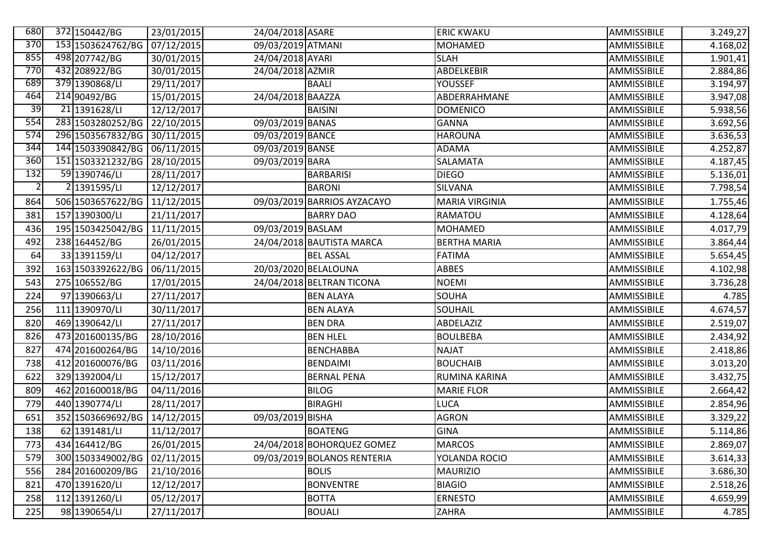| 680            | 372 150442/BG                | 23/01/2015 | 24/04/2018 ASARE  |                             | <b>ERIC KWAKU</b>     | AMMISSIBILE | 3.249,27 |
|----------------|------------------------------|------------|-------------------|-----------------------------|-----------------------|-------------|----------|
| 370            | 153 1503624762/BG            | 07/12/2015 | 09/03/2019 ATMANI |                             | <b>MOHAMED</b>        | AMMISSIBILE | 4.168,02 |
| 855            | 498 207742/BG                | 30/01/2015 | 24/04/2018 AYARI  |                             | <b>SLAH</b>           | AMMISSIBILE | 1.901,41 |
| 770            | 432 208922/BG                | 30/01/2015 | 24/04/2018 AZMIR  |                             | ABDELKEBIR            | AMMISSIBILE | 2.884,86 |
| 689            | 379 1390868/LI               | 29/11/2017 |                   | <b>BAALI</b>                | <b>YOUSSEF</b>        | AMMISSIBILE | 3.194,97 |
| 464            | 214 90492/BG                 | 15/01/2015 | 24/04/2018 BAAZZA |                             | ABDERRAHMANE          | AMMISSIBILE | 3.947,08 |
| 39             | $\overline{21 139162}8$ /LI  | 12/12/2017 |                   | <b>BAISINI</b>              | <b>DOMENICO</b>       | AMMISSIBILE | 5.938,56 |
| 554            | 283 1503280252/BG            | 22/10/2015 | 09/03/2019 BANAS  |                             | <b>GANNA</b>          | AMMISSIBILE | 3.692,56 |
| 574            | 296 1503567832/BG 30/11/2015 |            | 09/03/2019 BANCE  |                             | <b>HAROUNA</b>        | AMMISSIBILE | 3.636,53 |
| 344            | 144 1503390842/BG 06/11/2015 |            | 09/03/2019 BANSE  |                             | <b>ADAMA</b>          | AMMISSIBILE | 4.252,87 |
| 360            | 151 1503321232/BG            | 28/10/2015 | 09/03/2019 BARA   |                             | <b>SALAMATA</b>       | AMMISSIBILE | 4.187,45 |
| 132            | 59 1390746/LI                | 28/11/2017 |                   | <b>BARBARISI</b>            | <b>DIEGO</b>          | AMMISSIBILE | 5.136,01 |
| $\overline{2}$ | 2 1391595/LI                 | 12/12/2017 |                   | <b>BARONI</b>               | SILVANA               | AMMISSIBILE | 7.798,54 |
| 864            | 506 1503657622/BG            | 11/12/2015 |                   | 09/03/2019 BARRIOS AYZACAYO | <b>MARIA VIRGINIA</b> | AMMISSIBILE | 1.755,46 |
| 381            | 157 1390300/LI               | 21/11/2017 |                   | <b>BARRY DAO</b>            | RAMATOU               | AMMISSIBILE | 4.128,64 |
| 436            | 195 1503425042/BG            | 11/11/2015 | 09/03/2019 BASLAM |                             | <b>MOHAMED</b>        | AMMISSIBILE | 4.017,79 |
| 492            | 238 164452/BG                | 26/01/2015 |                   | 24/04/2018 BAUTISTA MARCA   | <b>BERTHA MARIA</b>   | AMMISSIBILE | 3.864,44 |
| 64             | 33 1391159/LI                | 04/12/2017 |                   | <b>BEL ASSAL</b>            | <b>FATIMA</b>         | AMMISSIBILE | 5.654,45 |
| 392            | 163 1503392622/BG            | 06/11/2015 |                   | 20/03/2020 BELALOUNA        | ABBES                 | AMMISSIBILE | 4.102,98 |
| 543            | 275 106552/BG                | 17/01/2015 |                   | 24/04/2018 BELTRAN TICONA   | <b>NOEMI</b>          | AMMISSIBILE | 3.736,28 |
| 224            | 97 1390663/LI                | 27/11/2017 |                   | <b>BEN ALAYA</b>            | <b>SOUHA</b>          | AMMISSIBILE | 4.785    |
| 256            | 111 1390970/LI               | 30/11/2017 |                   | <b>BEN ALAYA</b>            | SOUHAIL               | AMMISSIBILE | 4.674,57 |
| 820            | 469 1390642/LI               | 27/11/2017 |                   | <b>BEN DRA</b>              | ABDELAZIZ             | AMMISSIBILE | 2.519,07 |
| 826            | 473 201600135/BG             | 28/10/2016 |                   | <b>BEN HLEL</b>             | <b>BOULBEBA</b>       | AMMISSIBILE | 2.434,92 |
| 827            | 474 201600264/BG             | 14/10/2016 |                   | <b>BENCHABBA</b>            | <b>NAJAT</b>          | AMMISSIBILE | 2.418,86 |
| 738            | 412 201600076/BG             | 03/11/2016 |                   | <b>BENDAIMI</b>             | <b>BOUCHAIB</b>       | AMMISSIBILE | 3.013,20 |
| 622            | 329 1392004/LI               | 15/12/2017 |                   | <b>BERNAL PENA</b>          | RUMINA KARINA         | AMMISSIBILE | 3.432,75 |
| 809            | 462 201600018/BG             | 04/11/2016 |                   | <b>BILOG</b>                | <b>MARIE FLOR</b>     | AMMISSIBILE | 2.664,42 |
| 779            | 440 1390774/LI               | 28/11/2017 |                   | <b>BIRAGHI</b>              | <b>LUCA</b>           | AMMISSIBILE | 2.854,96 |
| 651            | 352 1503669692/BG            | 14/12/2015 | 09/03/2019 BISHA  |                             | <b>AGRON</b>          | AMMISSIBILE | 3.329,22 |
| 138            | 62 1391481/LI                | 11/12/2017 |                   | <b>BOATENG</b>              | <b>GINA</b>           | AMMISSIBILE | 5.114,86 |
| 773            | 434 164412/BG                | 26/01/2015 |                   | 24/04/2018 BOHORQUEZ GOMEZ  | <b>MARCOS</b>         | AMMISSIBILE | 2.869,07 |
| 579            | 300 1503349002/BG            | 02/11/2015 |                   | 09/03/2019 BOLANOS RENTERIA | YOLANDA ROCIO         | AMMISSIBILE | 3.614,33 |
| 556            | 284 201600209/BG             | 21/10/2016 |                   | <b>BOLIS</b>                | <b>MAURIZIO</b>       | AMMISSIBILE | 3.686,30 |
| 821            | 470 1391620/LI               | 12/12/2017 |                   | <b>BONVENTRE</b>            | <b>BIAGIO</b>         | AMMISSIBILE | 2.518,26 |
| 258            | 112 1391260/LI               | 05/12/2017 |                   | <b>BOTTA</b>                | <b>ERNESTO</b>        | AMMISSIBILE | 4.659,99 |
| 225            | 98 1390654/LI                | 27/11/2017 |                   | <b>BOUALI</b>               | <b>ZAHRA</b>          | AMMISSIBILE | 4.785    |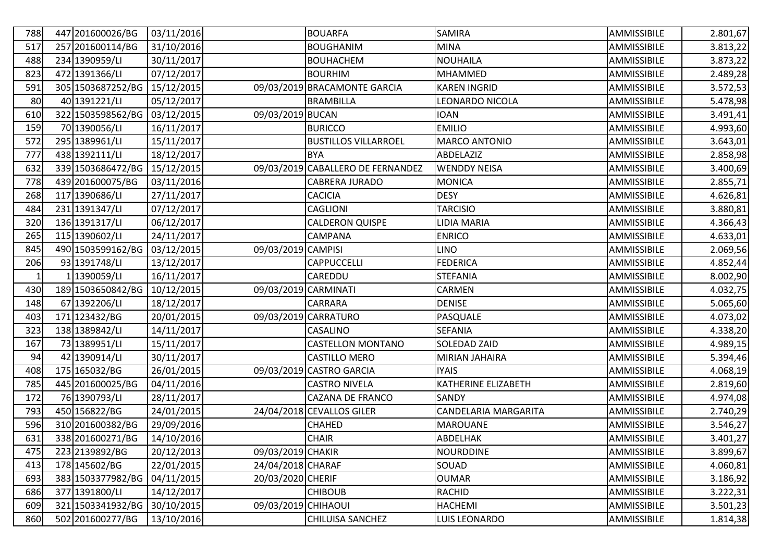| 788 | 447 201600026/BG  | 03/11/2016 |                      | <b>BOUARFA</b>                    | <b>SAMIRA</b>        | <b>AMMISSIBILE</b> | 2.801,67 |
|-----|-------------------|------------|----------------------|-----------------------------------|----------------------|--------------------|----------|
| 517 | 257 201600114/BG  | 31/10/2016 |                      | <b>BOUGHANIM</b>                  | <b>MINA</b>          | AMMISSIBILE        | 3.813,22 |
| 488 | 234 1390959/LI    | 30/11/2017 |                      | <b>BOUHACHEM</b>                  | <b>NOUHAILA</b>      | AMMISSIBILE        | 3.873,22 |
| 823 | 472 1391366/LI    | 07/12/2017 |                      | <b>BOURHIM</b>                    | <b>MHAMMED</b>       | AMMISSIBILE        | 2.489,28 |
| 591 | 305 1503687252/BG | 15/12/2015 |                      | 09/03/2019 BRACAMONTE GARCIA      | <b>KAREN INGRID</b>  | AMMISSIBILE        | 3.572,53 |
| 80  | 40 1391221/LI     | 05/12/2017 |                      | <b>BRAMBILLA</b>                  | LEONARDO NICOLA      | AMMISSIBILE        | 5.478,98 |
| 610 | 322 1503598562/BG | 03/12/2015 | 09/03/2019 BUCAN     |                                   | <b>IOAN</b>          | AMMISSIBILE        | 3.491,41 |
| 159 | 70 1390056/LI     | 16/11/2017 |                      | <b>BURICCO</b>                    | <b>EMILIO</b>        | AMMISSIBILE        | 4.993,60 |
| 572 | 295 1389961/LI    | 15/11/2017 |                      | <b>BUSTILLOS VILLARROEL</b>       | <b>MARCO ANTONIO</b> | AMMISSIBILE        | 3.643,01 |
| 777 | 438 1392111/LI    | 18/12/2017 |                      | <b>BYA</b>                        | ABDELAZIZ            | AMMISSIBILE        | 2.858,98 |
| 632 | 339 1503686472/BG | 15/12/2015 |                      | 09/03/2019 CABALLERO DE FERNANDEZ | <b>WENDDY NEISA</b>  | AMMISSIBILE        | 3.400,69 |
| 778 | 439 201600075/BG  | 03/11/2016 |                      | CABRERA JURADO                    | <b>MONICA</b>        | AMMISSIBILE        | 2.855,71 |
| 268 | 117 1390686/LI    | 27/11/2017 |                      | <b>CACICIA</b>                    | <b>DESY</b>          | AMMISSIBILE        | 4.626,81 |
| 484 | 231 1391347/LI    | 07/12/2017 |                      | <b>CAGLIONI</b>                   | <b>TARCISIO</b>      | AMMISSIBILE        | 3.880,81 |
| 320 | 136 1391317/LI    | 06/12/2017 |                      | <b>CALDERON QUISPE</b>            | LIDIA MARIA          | AMMISSIBILE        | 4.366,43 |
| 265 | 115 1390602/LI    | 24/11/2017 |                      | <b>CAMPANA</b>                    | <b>ENRICO</b>        | AMMISSIBILE        | 4.633,01 |
| 845 | 490 1503599162/BG | 03/12/2015 | 09/03/2019 CAMPISI   |                                   | <b>LINO</b>          | AMMISSIBILE        | 2.069,56 |
| 206 | 93 1391748/LI     | 13/12/2017 |                      | <b>CAPPUCCELLI</b>                | <b>FEDERICA</b>      | AMMISSIBILE        | 4.852,44 |
| 1   | 1 1390059/LI      | 16/11/2017 |                      | CAREDDU                           | <b>STEFANIA</b>      | AMMISSIBILE        | 8.002,90 |
| 430 | 189 1503650842/BG | 10/12/2015 | 09/03/2019 CARMINATI |                                   | CARMEN               | AMMISSIBILE        | 4.032,75 |
| 148 | 67 1392206/LI     | 18/12/2017 |                      | <b>CARRARA</b>                    | <b>DENISE</b>        | AMMISSIBILE        | 5.065,60 |
| 403 | 171 123432/BG     | 20/01/2015 |                      | 09/03/2019 CARRATURO              | PASQUALE             | AMMISSIBILE        | 4.073,02 |
| 323 | 138 1389842/LI    | 14/11/2017 |                      | CASALINO                          | <b>SEFANIA</b>       | AMMISSIBILE        | 4.338,20 |
| 167 | 73 1389951/LI     | 15/11/2017 |                      | <b>CASTELLON MONTANO</b>          | SOLEDAD ZAID         | AMMISSIBILE        | 4.989,15 |
| 94  | 42 1390914/LI     | 30/11/2017 |                      | CASTILLO MERO                     | MIRIAN JAHAIRA       | AMMISSIBILE        | 5.394,46 |
| 408 | 175 165032/BG     | 26/01/2015 |                      | 09/03/2019 CASTRO GARCIA          | <b>IYAIS</b>         | AMMISSIBILE        | 4.068,19 |
| 785 | 445 201600025/BG  | 04/11/2016 |                      | <b>CASTRO NIVELA</b>              | KATHERINE ELIZABETH  | AMMISSIBILE        | 2.819,60 |
| 172 | 76 1390793/LI     | 28/11/2017 |                      | <b>CAZANA DE FRANCO</b>           | SANDY                | AMMISSIBILE        | 4.974,08 |
| 793 | 450 156822/BG     | 24/01/2015 |                      | 24/04/2018 CEVALLOS GILER         | CANDELARIA MARGARITA | AMMISSIBILE        | 2.740,29 |
| 596 | 310 201600382/BG  | 29/09/2016 |                      | CHAHED                            | <b>MAROUANE</b>      | AMMISSIBILE        | 3.546,27 |
| 631 | 338 201600271/BG  | 14/10/2016 |                      | <b>CHAIR</b>                      | ABDELHAK             | AMMISSIBILE        | 3.401,27 |
| 475 | 223 2139892/BG    | 20/12/2013 | 09/03/2019 CHAKIR    |                                   | <b>NOURDDINE</b>     | AMMISSIBILE        | 3.899,67 |
| 413 | 178 145602/BG     | 22/01/2015 | 24/04/2018 CHARAF    |                                   | SOUAD                | AMMISSIBILE        | 4.060,81 |
| 693 | 383 1503377982/BG | 04/11/2015 | 20/03/2020 CHERIF    |                                   | <b>OUMAR</b>         | AMMISSIBILE        | 3.186,92 |
| 686 | 377 1391800/LI    | 14/12/2017 |                      | <b>CHIBOUB</b>                    | <b>RACHID</b>        | AMMISSIBILE        | 3.222,31 |
| 609 | 321 1503341932/BG | 30/10/2015 | 09/03/2019 CHIHAOUI  |                                   | <b>HACHEMI</b>       | AMMISSIBILE        | 3.501,23 |
| 860 | 502 201600277/BG  | 13/10/2016 |                      | CHILUISA SANCHEZ                  | LUIS LEONARDO        | AMMISSIBILE        | 1.814,38 |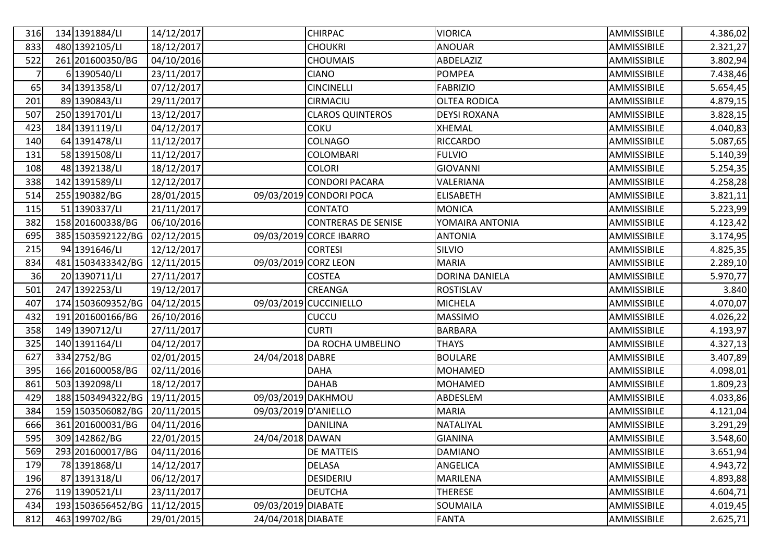| 316            | 134 1391884/LI    | 14/12/2017 |                      | <b>CHIRPAC</b>             | <b>VIORICA</b>      | AMMISSIBILE | 4.386,02 |
|----------------|-------------------|------------|----------------------|----------------------------|---------------------|-------------|----------|
| 833            | 480 1392105/LI    | 18/12/2017 |                      | <b>CHOUKRI</b>             | <b>ANOUAR</b>       | AMMISSIBILE | 2.321,27 |
| 522            | 261 201600350/BG  | 04/10/2016 |                      | <b>CHOUMAIS</b>            | ABDELAZIZ           | AMMISSIBILE | 3.802,94 |
| $\overline{7}$ | 6 1390540/LI      | 23/11/2017 |                      | <b>CIANO</b>               | <b>POMPEA</b>       | AMMISSIBILE | 7.438,46 |
| 65             | 34 1391358/LI     | 07/12/2017 |                      | <b>CINCINELLI</b>          | <b>FABRIZIO</b>     | AMMISSIBILE | 5.654,45 |
| 201            | 89 1390843/LI     | 29/11/2017 |                      | CIRMACIU                   | <b>OLTEA RODICA</b> | AMMISSIBILE | 4.879,15 |
| 507            | 250 1391701/LI    | 13/12/2017 |                      | <b>CLAROS QUINTEROS</b>    | <b>DEYSI ROXANA</b> | AMMISSIBILE | 3.828,15 |
| 423            | 184 1391119/LI    | 04/12/2017 |                      | <b>COKU</b>                | XHEMAL              | AMMISSIBILE | 4.040,83 |
| 140            | 64 1391478/LI     | 11/12/2017 |                      | <b>COLNAGO</b>             | <b>RICCARDO</b>     | AMMISSIBILE | 5.087,65 |
| 131            | 58 1391508/LI     | 11/12/2017 |                      | <b>COLOMBARI</b>           | <b>FULVIO</b>       | AMMISSIBILE | 5.140,39 |
| 108            | 48 1392138/LI     | 18/12/2017 |                      | <b>COLORI</b>              | <b>GIOVANNI</b>     | AMMISSIBILE | 5.254,35 |
| 338            | 142 1391589/LI    | 12/12/2017 |                      | <b>CONDORI PACARA</b>      | VALERIANA           | AMMISSIBILE | 4.258,28 |
| 514            | 255 190382/BG     | 28/01/2015 |                      | 09/03/2019 CONDORI POCA    | <b>ELISABETH</b>    | AMMISSIBILE | 3.821,11 |
| 115            | 51 1390337/LI     | 21/11/2017 |                      | <b>CONTATO</b>             | <b>MONICA</b>       | AMMISSIBILE | 5.223,99 |
| 382            | 158 201600338/BG  | 06/10/2016 |                      | <b>CONTRERAS DE SENISE</b> | YOMAIRA ANTONIA     | AMMISSIBILE | 4.123,42 |
| 695            | 385 1503592122/BG | 02/12/2015 |                      | 09/03/2019 CORCE IBARRO    | <b>ANTONIA</b>      | AMMISSIBILE | 3.174,95 |
| 215            | 94 1391646/LI     | 12/12/2017 |                      | <b>CORTESI</b>             | SILVIO              | AMMISSIBILE | 4.825,35 |
| 834            | 481 1503433342/BG | 12/11/2015 | 09/03/2019 CORZ LEON |                            | <b>MARIA</b>        | AMMISSIBILE | 2.289,10 |
| 36             | 20 1390711/LI     | 27/11/2017 |                      | <b>COSTEA</b>              | DORINA DANIELA      | AMMISSIBILE | 5.970,77 |
| 501            | 247 1392253/LI    | 19/12/2017 |                      | CREANGA                    | <b>ROSTISLAV</b>    | AMMISSIBILE | 3.840    |
| 407            | 174 1503609352/BG | 04/12/2015 |                      | 09/03/2019 CUCCINIELLO     | <b>MICHELA</b>      | AMMISSIBILE | 4.070,07 |
| 432            | 191 201600166/BG  | 26/10/2016 |                      | CUCCU                      | <b>MASSIMO</b>      | AMMISSIBILE | 4.026,22 |
| 358            | 149 1390712/LI    | 27/11/2017 |                      | <b>CURTI</b>               | <b>BARBARA</b>      | AMMISSIBILE | 4.193,97 |
| 325            | 140 1391164/LI    | 04/12/2017 |                      | DA ROCHA UMBELINO          | <b>THAYS</b>        | AMMISSIBILE | 4.327,13 |
| 627            | 334 2752/BG       | 02/01/2015 | 24/04/2018 DABRE     |                            | <b>BOULARE</b>      | AMMISSIBILE | 3.407,89 |
| 395            | 166 201600058/BG  | 02/11/2016 |                      | <b>DAHA</b>                | <b>MOHAMED</b>      | AMMISSIBILE | 4.098,01 |
| 861            | 503 1392098/LI    | 18/12/2017 |                      | <b>DAHAB</b>               | MOHAMED             | AMMISSIBILE | 1.809,23 |
| 429            | 188 1503494322/BG | 19/11/2015 | 09/03/2019 DAKHMOU   |                            | ABDESLEM            | AMMISSIBILE | 4.033,86 |
| 384            | 159 1503506082/BG | 20/11/2015 | 09/03/2019 D'ANIELLO |                            | <b>MARIA</b>        | AMMISSIBILE | 4.121,04 |
| 666            | 361 201600031/BG  | 04/11/2016 |                      | <b>DANILINA</b>            | NATALIYAL           | AMMISSIBILE | 3.291,29 |
| 595            | 309 142862/BG     | 22/01/2015 | 24/04/2018 DAWAN     |                            | <b>GIANINA</b>      | AMMISSIBILE | 3.548,60 |
| 569            | 293 201600017/BG  | 04/11/2016 |                      | <b>DE MATTEIS</b>          | <b>DAMIANO</b>      | AMMISSIBILE | 3.651,94 |
| 179            | 78 1391868/LI     | 14/12/2017 |                      | <b>DELASA</b>              | ANGELICA            | AMMISSIBILE | 4.943,72 |
| 196            | 87 1391318/LI     | 06/12/2017 |                      | DESIDERIU                  | <b>MARILENA</b>     | AMMISSIBILE | 4.893,88 |
| 276            | 119 1390521/LI    | 23/11/2017 |                      | <b>DEUTCHA</b>             | <b>THERESE</b>      | AMMISSIBILE | 4.604,71 |
| 434            | 193 1503656452/BG | 11/12/2015 | 09/03/2019 DIABATE   |                            | SOUMAILA            | AMMISSIBILE | 4.019,45 |
| 812            | 463 199702/BG     | 29/01/2015 | 24/04/2018 DIABATE   |                            | <b>FANTA</b>        | AMMISSIBILE | 2.625,71 |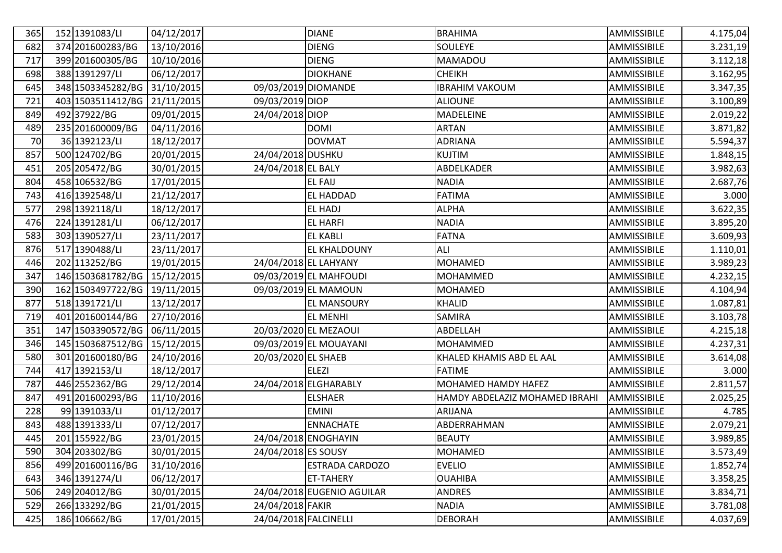| 365 | 152 1391083/LI    | 04/12/2017 |                       | <b>DIANE</b>               | <b>BRAHIMA</b>                 | AMMISSIBILE | 4.175,04  |
|-----|-------------------|------------|-----------------------|----------------------------|--------------------------------|-------------|-----------|
| 682 | 374 201600283/BG  | 13/10/2016 |                       | <b>DIENG</b>               | SOULEYE                        | AMMISSIBILE | 3.231,19  |
| 717 | 399 201600305/BG  | 10/10/2016 |                       | <b>DIENG</b>               | MAMADOU                        | AMMISSIBILE | 3.112,18  |
| 698 | 388 1391297/LI    | 06/12/2017 |                       | <b>DIOKHANE</b>            | <b>CHEIKH</b>                  | AMMISSIBILE | 3.162,95  |
| 645 | 348 1503345282/BG | 31/10/2015 | 09/03/2019 DIOMANDE   |                            | <b>IBRAHIM VAKOUM</b>          | AMMISSIBILE | 3.347,35  |
| 721 | 403 1503511412/BG | 21/11/2015 | 09/03/2019 DIOP       |                            | <b>ALIOUNE</b>                 | AMMISSIBILE | 3.100,89  |
| 849 | 492 37922/BG      | 09/01/2015 | 24/04/2018 DIOP       |                            | MADELEINE                      | AMMISSIBILE | 2.019,22  |
| 489 | 235 201600009/BG  | 04/11/2016 |                       | <b>DOMI</b>                | <b>ARTAN</b>                   | AMMISSIBILE | 3.871,82  |
| 70  | 36 1392123/LI     | 18/12/2017 |                       | <b>DOVMAT</b>              | <b>ADRIANA</b>                 | AMMISSIBILE | 5.594,37  |
| 857 | 500 124702/BG     | 20/01/2015 | 24/04/2018 DUSHKU     |                            | <b>KUJTIM</b>                  | AMMISSIBILE | 1.848,15  |
| 451 | 205 205472/BG     | 30/01/2015 | 24/04/2018 EL BALY    |                            | ABDELKADER                     | AMMISSIBILE | 3.982,63  |
| 804 | 458 106532/BG     | 17/01/2015 |                       | <b>EL FAIJ</b>             | <b>NADIA</b>                   | AMMISSIBILE | 2.687,76  |
| 743 | 416 1392548/LI    | 21/12/2017 |                       | EL HADDAD                  | <b>FATIMA</b>                  | AMMISSIBILE | 3.000     |
| 577 | 298 1392118/LI    | 18/12/2017 |                       | <b>EL HADJ</b>             | <b>ALPHA</b>                   | AMMISSIBILE | 3.622, 35 |
| 476 | 224 1391281/LI    | 06/12/2017 |                       | <b>EL HARFI</b>            | <b>NADIA</b>                   | AMMISSIBILE | 3.895,20  |
| 583 | 303 1390527/LI    | 23/11/2017 |                       | <b>EL KABLI</b>            | <b>FATNA</b>                   | AMMISSIBILE | 3.609,93  |
| 876 | 517 1390488/LI    | 23/11/2017 |                       | EL KHALDOUNY               | <b>ALI</b>                     | AMMISSIBILE | 1.110,01  |
| 446 | 202 113252/BG     | 19/01/2015 |                       | 24/04/2018 EL LAHYANY      | <b>MOHAMED</b>                 | AMMISSIBILE | 3.989,23  |
| 347 | 146 1503681782/BG | 15/12/2015 |                       | 09/03/2019 EL MAHFOUDI     | MOHAMMED                       | AMMISSIBILE | 4.232,15  |
| 390 | 162 1503497722/BG | 19/11/2015 |                       | 09/03/2019 EL MAMOUN       | <b>MOHAMED</b>                 | AMMISSIBILE | 4.104,94  |
| 877 | 518 1391721/LI    | 13/12/2017 |                       | <b>EL MANSOURY</b>         | <b>KHALID</b>                  | AMMISSIBILE | 1.087,81  |
| 719 | 401 201600144/BG  | 27/10/2016 |                       | <b>EL MENHI</b>            | SAMIRA                         | AMMISSIBILE | 3.103,78  |
| 351 | 147 1503390572/BG | 06/11/2015 |                       | 20/03/2020 EL MEZAOUI      | ABDELLAH                       | AMMISSIBILE | 4.215,18  |
| 346 | 145 1503687512/BG | 15/12/2015 |                       | 09/03/2019 EL MOUAYANI     | MOHAMMED                       | AMMISSIBILE | 4.237,31  |
| 580 | 301 201600180/BG  | 24/10/2016 | 20/03/2020 EL SHAEB   |                            | KHALED KHAMIS ABD EL AAL       | AMMISSIBILE | 3.614,08  |
| 744 | 417 1392153/LI    | 18/12/2017 |                       | <b>ELEZI</b>               | <b>FATIME</b>                  | AMMISSIBILE | 3.000     |
| 787 | 446 2552362/BG    | 29/12/2014 |                       | 24/04/2018 ELGHARABLY      | MOHAMED HAMDY HAFEZ            | AMMISSIBILE | 2.811,57  |
| 847 | 491 201600293/BG  | 11/10/2016 |                       | <b>ELSHAER</b>             | HAMDY ABDELAZIZ MOHAMED IBRAHI | AMMISSIBILE | 2.025,25  |
| 228 | 99 1391033/LI     | 01/12/2017 |                       | <b>EMINI</b>               | <b>ARIJANA</b>                 | AMMISSIBILE | 4.785     |
| 843 | 488 1391333/LI    | 07/12/2017 |                       | <b>ENNACHATE</b>           | ABDERRAHMAN                    | AMMISSIBILE | 2.079,21  |
| 445 | 201 155922/BG     | 23/01/2015 |                       | 24/04/2018 ENOGHAYIN       | <b>BEAUTY</b>                  | AMMISSIBILE | 3.989,85  |
| 590 | 304 203302/BG     | 30/01/2015 | 24/04/2018 ES SOUSY   |                            | <b>MOHAMED</b>                 | AMMISSIBILE | 3.573,49  |
| 856 | 499 201600116/BG  | 31/10/2016 |                       | <b>ESTRADA CARDOZO</b>     | <b>EVELIO</b>                  | AMMISSIBILE | 1.852,74  |
| 643 | 346 1391274/LI    | 06/12/2017 |                       | <b>ET-TAHERY</b>           | <b>OUAHIBA</b>                 | AMMISSIBILE | 3.358,25  |
| 506 | 249 204012/BG     | 30/01/2015 |                       | 24/04/2018 EUGENIO AGUILAR | <b>ANDRES</b>                  | AMMISSIBILE | 3.834,71  |
| 529 | 266 133292/BG     | 21/01/2015 | 24/04/2018 FAKIR      |                            | <b>NADIA</b>                   | AMMISSIBILE | 3.781,08  |
| 425 | 186 106662/BG     | 17/01/2015 | 24/04/2018 FALCINELLI |                            | <b>DEBORAH</b>                 | AMMISSIBILE | 4.037,69  |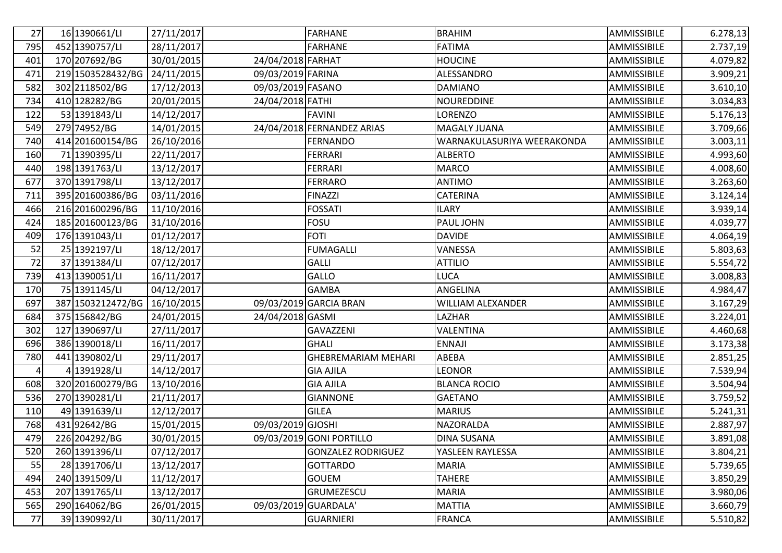| 27  | 16 1390661/LI     | 27/11/2017 |                     | <b>FARHANE</b>             | <b>BRAHIM</b>              | AMMISSIBILE | 6.278,13  |
|-----|-------------------|------------|---------------------|----------------------------|----------------------------|-------------|-----------|
| 795 | 452 1390757/LI    | 28/11/2017 |                     | <b>FARHANE</b>             | <b>FATIMA</b>              | AMMISSIBILE | 2.737,19  |
| 401 | 170 207692/BG     | 30/01/2015 | 24/04/2018 FARHAT   |                            | <b>HOUCINE</b>             | AMMISSIBILE | 4.079,82  |
| 471 | 219 1503528432/BG | 24/11/2015 | 09/03/2019 FARINA   |                            | ALESSANDRO                 | AMMISSIBILE | 3.909, 21 |
| 582 | 302 2118502/BG    | 17/12/2013 | 09/03/2019 FASANO   |                            | <b>DAMIANO</b>             | AMMISSIBILE | 3.610,10  |
| 734 | 410 128282/BG     | 20/01/2015 | 24/04/2018 FATHI    |                            | <b>NOUREDDINE</b>          | AMMISSIBILE | 3.034,83  |
| 122 | 53 1391843/LI     | 14/12/2017 |                     | <b>FAVINI</b>              | LORENZO                    | AMMISSIBILE | 5.176,13  |
| 549 | 279 74952/BG      | 14/01/2015 |                     | 24/04/2018 FERNANDEZ ARIAS | <b>MAGALY JUANA</b>        | AMMISSIBILE | 3.709,66  |
| 740 | 414 201600154/BG  | 26/10/2016 |                     | <b>FERNANDO</b>            | WARNAKULASURIYA WEERAKONDA | AMMISSIBILE | 3.003,11  |
| 160 | 71 1390395/LI     | 22/11/2017 |                     | <b>FERRARI</b>             | <b>ALBERTO</b>             | AMMISSIBILE | 4.993,60  |
| 440 | 198 1391763/LI    | 13/12/2017 |                     | <b>FERRARI</b>             | <b>MARCO</b>               | AMMISSIBILE | 4.008,60  |
| 677 | 370 1391798/LI    | 13/12/2017 |                     | <b>FERRARO</b>             | <b>ANTIMO</b>              | AMMISSIBILE | 3.263,60  |
| 711 | 395 201600386/BG  | 03/11/2016 |                     | <b>FINAZZI</b>             | CATERINA                   | AMMISSIBILE | 3.124, 14 |
| 466 | 216 201600296/BG  | 11/10/2016 |                     | <b>FOSSATI</b>             | <b>ILARY</b>               | AMMISSIBILE | 3.939,14  |
| 424 | 185 201600123/BG  | 31/10/2016 |                     | <b>FOSU</b>                | PAUL JOHN                  | AMMISSIBILE | 4.039,77  |
| 409 | 176 1391043/LI    | 01/12/2017 |                     | <b>FOTI</b>                | <b>DAVIDE</b>              | AMMISSIBILE | 4.064,19  |
| 52  | 25 1392197/LI     | 18/12/2017 |                     | <b>FUMAGALLI</b>           | VANESSA                    | AMMISSIBILE | 5.803,63  |
| 72  | 37 1391384/LI     | 07/12/2017 |                     | <b>GALLI</b>               | <b>ATTILIO</b>             | AMMISSIBILE | 5.554,72  |
| 739 | 413 1390051/LI    | 16/11/2017 |                     | GALLO                      | LUCA                       | AMMISSIBILE | 3.008,83  |
| 170 | 75 1391145/LI     | 04/12/2017 |                     | <b>GAMBA</b>               | ANGELINA                   | AMMISSIBILE | 4.984,47  |
| 697 | 387 1503212472/BG | 16/10/2015 |                     | 09/03/2019 GARCIA BRAN     | WILLIAM ALEXANDER          | AMMISSIBILE | 3.167,29  |
| 684 | 375 156842/BG     | 24/01/2015 | 24/04/2018 GASMI    |                            | LAZHAR                     | AMMISSIBILE | 3.224,01  |
| 302 | 127 1390697/LI    | 27/11/2017 |                     | GAVAZZENI                  | VALENTINA                  | AMMISSIBILE | 4.460,68  |
| 696 | 386 1390018/LI    | 16/11/2017 |                     | <b>GHALI</b>               | <b>ENNAJI</b>              | AMMISSIBILE | 3.173,38  |
| 780 | 441 1390802/LI    | 29/11/2017 |                     | <b>GHEBREMARIAM MEHARI</b> | ABEBA                      | AMMISSIBILE | 2.851,25  |
| 4   | 4 1391928/LI      | 14/12/2017 |                     | <b>GIA AJILA</b>           | <b>LEONOR</b>              | AMMISSIBILE | 7.539,94  |
| 608 | 320 201600279/BG  | 13/10/2016 |                     | <b>GIA AJILA</b>           | <b>BLANCA ROCIO</b>        | AMMISSIBILE | 3.504,94  |
| 536 | 270 1390281/LI    | 21/11/2017 |                     | <b>GIANNONE</b>            | <b>GAETANO</b>             | AMMISSIBILE | 3.759,52  |
| 110 | 49 1391639/LI     | 12/12/2017 |                     | <b>GILEA</b>               | <b>MARIUS</b>              | AMMISSIBILE | 5.241,31  |
| 768 | 43192642/BG       | 15/01/2015 | 09/03/2019 GJOSHI   |                            | NAZORALDA                  | AMMISSIBILE | 2.887,97  |
| 479 | 226 204292/BG     | 30/01/2015 |                     | 09/03/2019 GONI PORTILLO   | <b>DINA SUSANA</b>         | AMMISSIBILE | 3.891,08  |
| 520 | 260 1391396/LI    | 07/12/2017 |                     | <b>GONZALEZ RODRIGUEZ</b>  | YASLEEN RAYLESSA           | AMMISSIBILE | 3.804, 21 |
| 55  | 28 1391706/LI     | 13/12/2017 |                     | <b>GOTTARDO</b>            | <b>MARIA</b>               | AMMISSIBILE | 5.739,65  |
| 494 | 240 1391509/LI    | 11/12/2017 |                     | <b>GOUEM</b>               | <b>TAHERE</b>              | AMMISSIBILE | 3.850,29  |
| 453 | 207 1391765/LI    | 13/12/2017 |                     | GRUMEZESCU                 | <b>MARIA</b>               | AMMISSIBILE | 3.980,06  |
| 565 | 290 164062/BG     | 26/01/2015 | 09/03/2019 GUARDALA |                            | <b>MATTIA</b>              | AMMISSIBILE | 3.660,79  |
| 77  | 39 1390992/LI     | 30/11/2017 |                     | <b>GUARNIERI</b>           | <b>FRANCA</b>              | AMMISSIBILE | 5.510,82  |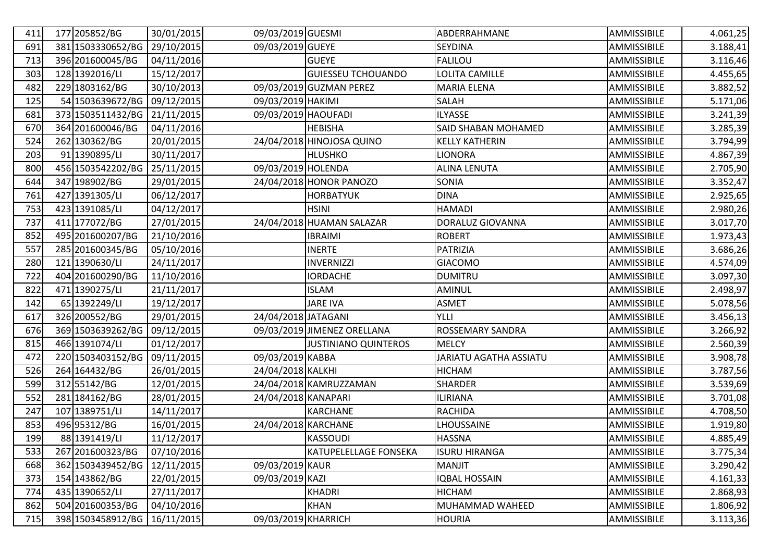| 411 | 177 205852/BG     | 30/01/2015 | 09/03/2019 GUESMI   |                              | ABDERRAHMANE           | AMMISSIBILE | 4.061,25 |
|-----|-------------------|------------|---------------------|------------------------------|------------------------|-------------|----------|
| 691 | 381 1503330652/BG | 29/10/2015 | 09/03/2019 GUEYE    |                              | <b>SEYDINA</b>         | AMMISSIBILE | 3.188,41 |
| 713 | 396 201600045/BG  | 04/11/2016 |                     | <b>GUEYE</b>                 | <b>FALILOU</b>         | AMMISSIBILE | 3.116,46 |
| 303 | 128 1392016/LI    | 15/12/2017 |                     | <b>GUIESSEU TCHOUANDO</b>    | LOLITA CAMILLE         | AMMISSIBILE | 4.455,65 |
| 482 | 229 1803162/BG    | 30/10/2013 |                     | 09/03/2019 GUZMAN PEREZ      | <b>MARIA ELENA</b>     | AMMISSIBILE | 3.882,52 |
| 125 | 54 1503639672/BG  | 09/12/2015 | 09/03/2019 HAKIMI   |                              | SALAH                  | AMMISSIBILE | 5.171,06 |
| 681 | 373 1503511432/BG | 21/11/2015 | 09/03/2019 HAOUFADI |                              | <b>ILYASSE</b>         | AMMISSIBILE | 3.241,39 |
| 670 | 364 201600046/BG  | 04/11/2016 |                     | <b>HEBISHA</b>               | SAID SHABAN MOHAMED    | AMMISSIBILE | 3.285,39 |
| 524 | 262 130362/BG     | 20/01/2015 |                     | 24/04/2018 HINOJOSA QUINO    | <b>KELLY KATHERIN</b>  | AMMISSIBILE | 3.794,99 |
| 203 | 91 1390895/LI     | 30/11/2017 |                     | <b>HLUSHKO</b>               | <b>LIONORA</b>         | AMMISSIBILE | 4.867,39 |
| 800 | 456 1503542202/BG | 25/11/2015 | 09/03/2019 HOLENDA  |                              | <b>ALINA LENUTA</b>    | AMMISSIBILE | 2.705,90 |
| 644 | 347 198902/BG     | 29/01/2015 |                     | 24/04/2018 HONOR PANOZO      | SONIA                  | AMMISSIBILE | 3.352,47 |
| 761 | 427 1391305/LI    | 06/12/2017 |                     | <b>HORBATYUK</b>             | <b>DINA</b>            | AMMISSIBILE | 2.925,65 |
| 753 | 423 1391085/LI    | 04/12/2017 |                     | <b>HSINI</b>                 | <b>HAMADI</b>          | AMMISSIBILE | 2.980,26 |
| 737 | 411 177072/BG     | 27/01/2015 |                     | 24/04/2018 HUAMAN SALAZAR    | DORALUZ GIOVANNA       | AMMISSIBILE | 3.017,70 |
| 852 | 495 201600207/BG  | 21/10/2016 |                     | <b>IBRAIMI</b>               | <b>ROBERT</b>          | AMMISSIBILE | 1.973,43 |
| 557 | 285 201600345/BG  | 05/10/2016 |                     | <b>INERTE</b>                | PATRIZIA               | AMMISSIBILE | 3.686,26 |
| 280 | 121 1390630/LI    | 24/11/2017 |                     | <b>INVERNIZZI</b>            | <b>GIACOMO</b>         | AMMISSIBILE | 4.574,09 |
| 722 | 404 201600290/BG  | 11/10/2016 |                     | <b>IORDACHE</b>              | <b>DUMITRU</b>         | AMMISSIBILE | 3.097,30 |
| 822 | 471 1390275/LI    | 21/11/2017 |                     | <b>ISLAM</b>                 | <b>AMINUL</b>          | AMMISSIBILE | 2.498,97 |
| 142 | 65 1392249/LI     | 19/12/2017 |                     | <b>JARE IVA</b>              | <b>ASMET</b>           | AMMISSIBILE | 5.078,56 |
| 617 | 326 200552/BG     | 29/01/2015 | 24/04/2018 JATAGANI |                              | <b>YLLI</b>            | AMMISSIBILE | 3.456,13 |
| 676 | 369 1503639262/BG | 09/12/2015 |                     | 09/03/2019 JIMENEZ ORELLANA  | ROSSEMARY SANDRA       | AMMISSIBILE | 3.266,92 |
| 815 | 466 1391074/LI    | 01/12/2017 |                     | <b>JUSTINIANO QUINTEROS</b>  | <b>MELCY</b>           | AMMISSIBILE | 2.560,39 |
| 472 | 220 1503403152/BG | 09/11/2015 | 09/03/2019 KABBA    |                              | JARIATU AGATHA ASSIATU | AMMISSIBILE | 3.908,78 |
| 526 | 264 164432/BG     | 26/01/2015 | 24/04/2018 KALKHI   |                              | <b>HICHAM</b>          | AMMISSIBILE | 3.787,56 |
| 599 | 312 55142/BG      | 12/01/2015 |                     | 24/04/2018 KAMRUZZAMAN       | <b>SHARDER</b>         | AMMISSIBILE | 3.539,69 |
| 552 | 281 184162/BG     | 28/01/2015 | 24/04/2018 KANAPARI |                              | <b>ILIRIANA</b>        | AMMISSIBILE | 3.701,08 |
| 247 | 107 1389751/LI    | 14/11/2017 |                     | <b>KARCHANE</b>              | <b>RACHIDA</b>         | AMMISSIBILE | 4.708,50 |
| 853 | 496 95312/BG      | 16/01/2015 | 24/04/2018 KARCHANE |                              | LHOUSSAINE             | AMMISSIBILE | 1.919,80 |
| 199 | 88 1391419/LI     | 11/12/2017 |                     | <b>KASSOUDI</b>              | <b>HASSNA</b>          | AMMISSIBILE | 4.885,49 |
| 533 | 267 201600323/BG  | 07/10/2016 |                     | <b>KATUPELELLAGE FONSEKA</b> | <b>ISURU HIRANGA</b>   | AMMISSIBILE | 3.775,34 |
| 668 | 362 1503439452/BG | 12/11/2015 | 09/03/2019 KAUR     |                              | MANJIT                 | AMMISSIBILE | 3.290,42 |
| 373 | 154 143862/BG     | 22/01/2015 | 09/03/2019 KAZI     |                              | <b>IQBAL HOSSAIN</b>   | AMMISSIBILE | 4.161,33 |
| 774 | 435 1390652/LI    | 27/11/2017 |                     | <b>KHADRI</b>                | <b>HICHAM</b>          | AMMISSIBILE | 2.868,93 |
| 862 | 504 201600353/BG  | 04/10/2016 |                     | <b>KHAN</b>                  | MUHAMMAD WAHEED        | AMMISSIBILE | 1.806,92 |
| 715 | 398 1503458912/BG | 16/11/2015 | 09/03/2019 KHARRICH |                              | <b>HOURIA</b>          | AMMISSIBILE | 3.113,36 |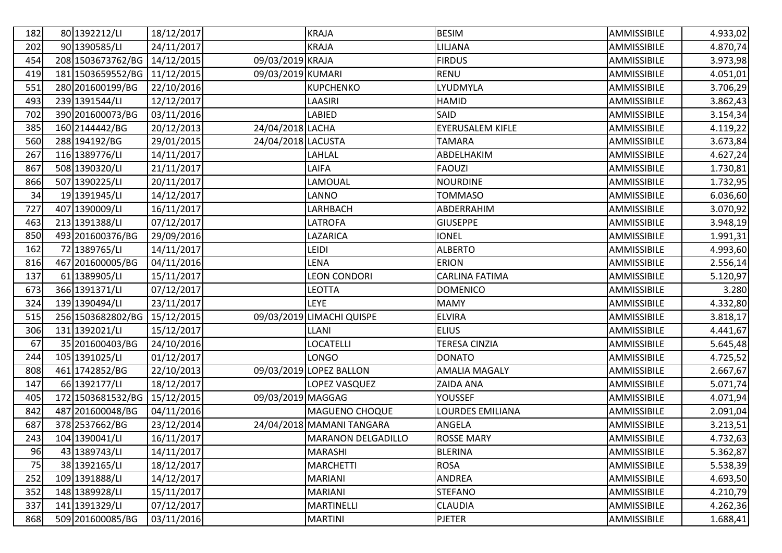| 182 | 80 1392212/LI     | 18/12/2017 |                    | <b>KRAJA</b>              | <b>BESIM</b>         | AMMISSIBILE | 4.933,02 |
|-----|-------------------|------------|--------------------|---------------------------|----------------------|-------------|----------|
| 202 | 90 1390585/LI     | 24/11/2017 |                    | <b>KRAJA</b>              | LILJANA              | AMMISSIBILE | 4.870,74 |
| 454 | 208 1503673762/BG | 14/12/2015 | 09/03/2019 KRAJA   |                           | <b>FIRDUS</b>        | AMMISSIBILE | 3.973,98 |
| 419 | 181 1503659552/BG | 11/12/2015 | 09/03/2019 KUMARI  |                           | <b>RENU</b>          | AMMISSIBILE | 4.051,01 |
| 551 | 280 201600199/BG  | 22/10/2016 |                    | <b>KUPCHENKO</b>          | LYUDMYLA             | AMMISSIBILE | 3.706,29 |
| 493 | 239 1391544/LI    | 12/12/2017 |                    | LAASIRI                   | <b>HAMID</b>         | AMMISSIBILE | 3.862,43 |
| 702 | 390 201600073/BG  | 03/11/2016 |                    | LABIED                    | SAID                 | AMMISSIBILE | 3.154,34 |
| 385 | 160 2144442/BG    | 20/12/2013 | 24/04/2018 LACHA   |                           | EYERUSALEM KIFLE     | AMMISSIBILE | 4.119,22 |
| 560 | 288 194192/BG     | 29/01/2015 | 24/04/2018 LACUSTA |                           | <b>TAMARA</b>        | AMMISSIBILE | 3.673,84 |
| 267 | 116 1389776/LI    | 14/11/2017 |                    | LAHLAL                    | ABDELHAKIM           | AMMISSIBILE | 4.627,24 |
| 867 | 508 1390320/LI    | 21/11/2017 |                    | LAIFA                     | <b>FAOUZI</b>        | AMMISSIBILE | 1.730,81 |
| 866 | 507 1390225/LI    | 20/11/2017 |                    | LAMOUAL                   | <b>NOURDINE</b>      | AMMISSIBILE | 1.732,95 |
| 34  | 19 1391945/LI     | 14/12/2017 |                    | LANNO                     | <b>TOMMASO</b>       | AMMISSIBILE | 6.036,60 |
| 727 | 407 1390009/LI    | 16/11/2017 |                    | LARHBACH                  | ABDERRAHIM           | AMMISSIBILE | 3.070,92 |
| 463 | 213 1391388/LI    | 07/12/2017 |                    | <b>LATROFA</b>            | <b>GIUSEPPE</b>      | AMMISSIBILE | 3.948,19 |
| 850 | 493 201600376/BG  | 29/09/2016 |                    | LAZARICA                  | <b>IONEL</b>         | AMMISSIBILE | 1.991,31 |
| 162 | 72 1389765/LI     | 14/11/2017 |                    | LEIDI                     | <b>ALBERTO</b>       | AMMISSIBILE | 4.993,60 |
| 816 | 467 201600005/BG  | 04/11/2016 |                    | <b>LENA</b>               | <b>ERION</b>         | AMMISSIBILE | 2.556,14 |
| 137 | 61 1389905/LI     | 15/11/2017 |                    | <b>LEON CONDORI</b>       | CARLINA FATIMA       | AMMISSIBILE | 5.120,97 |
| 673 | 366 1391371/LI    | 07/12/2017 |                    | <b>LEOTTA</b>             | <b>DOMENICO</b>      | AMMISSIBILE | 3.280    |
| 324 | 139 1390494/LI    | 23/11/2017 |                    | <b>LEYE</b>               | <b>MAMY</b>          | AMMISSIBILE | 4.332,80 |
| 515 | 256 1503682802/BG | 15/12/2015 |                    | 09/03/2019 LIMACHI QUISPE | <b>ELVIRA</b>        | AMMISSIBILE | 3.818,17 |
| 306 | 131 1392021/LI    | 15/12/2017 |                    | LLANI                     | <b>ELIUS</b>         | AMMISSIBILE | 4.441,67 |
| 67  | 35 201600403/BG   | 24/10/2016 |                    | LOCATELLI                 | TERESA CINZIA        | AMMISSIBILE | 5.645,48 |
| 244 | 105 1391025/LI    | 01/12/2017 |                    | <b>LONGO</b>              | <b>DONATO</b>        | AMMISSIBILE | 4.725,52 |
| 808 | 461 1742852/BG    | 22/10/2013 |                    | 09/03/2019 LOPEZ BALLON   | <b>AMALIA MAGALY</b> | AMMISSIBILE | 2.667,67 |
| 147 | 66 1392177/LI     | 18/12/2017 |                    | LOPEZ VASQUEZ             | ZAIDA ANA            | AMMISSIBILE | 5.071,74 |
| 405 | 172 1503681532/BG | 15/12/2015 | 09/03/2019 MAGGAG  |                           | <b>YOUSSEF</b>       | AMMISSIBILE | 4.071,94 |
| 842 | 487 201600048/BG  | 04/11/2016 |                    | MAGUENO CHOQUE            | LOURDES EMILIANA     | AMMISSIBILE | 2.091,04 |
| 687 | 378 2537662/BG    | 23/12/2014 |                    | 24/04/2018 MAMANI TANGARA | ANGELA               | AMMISSIBILE | 3.213,51 |
| 243 | 104 1390041/LI    | 16/11/2017 |                    | <b>MARANON DELGADILLO</b> | <b>ROSSE MARY</b>    | AMMISSIBILE | 4.732,63 |
| 96  | 43 1389743/LI     | 14/11/2017 |                    | <b>MARASHI</b>            | <b>BLERINA</b>       | AMMISSIBILE | 5.362,87 |
| 75  | 38 1392165/LI     | 18/12/2017 |                    | <b>MARCHETTI</b>          | <b>ROSA</b>          | AMMISSIBILE | 5.538,39 |
| 252 | 109 1391888/LI    | 14/12/2017 |                    | <b>MARIANI</b>            | ANDREA               | AMMISSIBILE | 4.693,50 |
| 352 | 148 1389928/LI    | 15/11/2017 |                    | <b>MARIANI</b>            | <b>STEFANO</b>       | AMMISSIBILE | 4.210,79 |
| 337 | 141 1391329/LI    | 07/12/2017 |                    | MARTINELLI                | <b>CLAUDIA</b>       | AMMISSIBILE | 4.262,36 |
| 868 | 509 201600085/BG  | 03/11/2016 |                    | <b>MARTINI</b>            | <b>PJETER</b>        | AMMISSIBILE | 1.688,41 |
|     |                   |            |                    |                           |                      |             |          |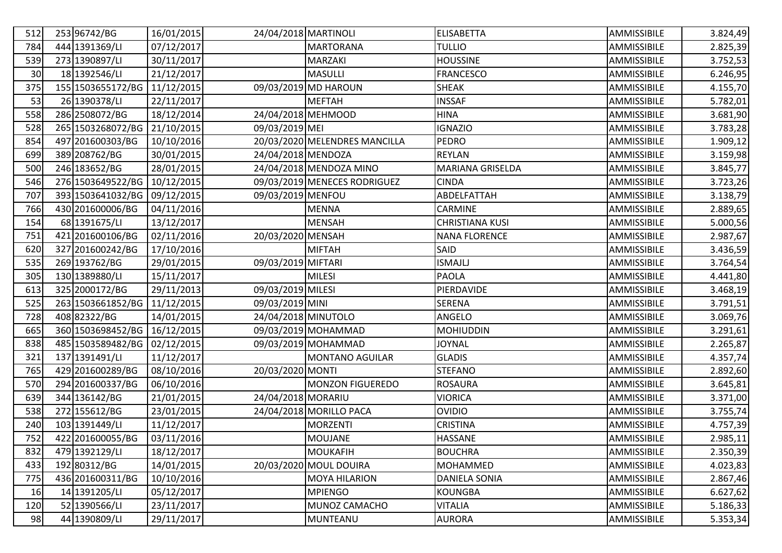| 512 | 253 96742/BG                 | 16/01/2015 | 24/04/2018 MARTINOLI |                               | <b>ELISABETTA</b>      | AMMISSIBILE | 3.824,49  |
|-----|------------------------------|------------|----------------------|-------------------------------|------------------------|-------------|-----------|
| 784 | 444 1391369/LI               | 07/12/2017 |                      | <b>MARTORANA</b>              | <b>TULLIO</b>          | AMMISSIBILE | 2.825,39  |
| 539 | 273 1390897/LI               | 30/11/2017 |                      | MARZAKI                       | <b>HOUSSINE</b>        | AMMISSIBILE | 3.752,53  |
| 30  | 18 1392546/LI                | 21/12/2017 |                      | <b>MASULLI</b>                | <b>FRANCESCO</b>       | AMMISSIBILE | 6.246,95  |
| 375 | 155 1503655172/BG            | 11/12/2015 |                      | 09/03/2019 MD HAROUN          | <b>SHEAK</b>           | AMMISSIBILE | 4.155,70  |
| 53  | 26 1390378/LI                | 22/11/2017 |                      | <b>MEFTAH</b>                 | <b>INSSAF</b>          | AMMISSIBILE | 5.782,01  |
| 558 | 286 2508072/BG               | 18/12/2014 | 24/04/2018 MEHMOOD   |                               | <b>HINA</b>            | AMMISSIBILE | 3.681,90  |
| 528 | 265 1503268072/BG            | 21/10/2015 | 09/03/2019 MEI       |                               | <b>IGNAZIO</b>         | AMMISSIBILE | 3.783,28  |
| 854 | 497 201600303/BG             | 10/10/2016 |                      | 20/03/2020 MELENDRES MANCILLA | <b>PEDRO</b>           | AMMISSIBILE | 1.909, 12 |
| 699 | 389 208762/BG                | 30/01/2015 | 24/04/2018 MENDOZA   |                               | <b>REYLAN</b>          | AMMISSIBILE | 3.159,98  |
| 500 | 246 183652/BG                | 28/01/2015 |                      | 24/04/2018 MENDOZA MINO       | MARIANA GRISELDA       | AMMISSIBILE | 3.845,77  |
| 546 | 276 1503649522/BG            | 10/12/2015 |                      | 09/03/2019 MENECES RODRIGUEZ  | <b>CINDA</b>           | AMMISSIBILE | 3.723,26  |
| 707 | 393 1503641032/BG            | 09/12/2015 | 09/03/2019 MENFOU    |                               | ABDELFATTAH            | AMMISSIBILE | 3.138,79  |
| 766 | 430 201600006/BG             | 04/11/2016 |                      | <b>MENNA</b>                  | CARMINE                | AMMISSIBILE | 2.889,65  |
| 154 | 68 1391675/LI                | 13/12/2017 |                      | <b>MENSAH</b>                 | <b>CHRISTIANA KUSI</b> | AMMISSIBILE | 5.000,56  |
| 751 | 421 201600106/BG             | 02/11/2016 | 20/03/2020 MENSAH    |                               | <b>NANA FLORENCE</b>   | AMMISSIBILE | 2.987,67  |
| 620 | 327 201600242/BG             | 17/10/2016 |                      | <b>MIFTAH</b>                 | SAID                   | AMMISSIBILE | 3.436,59  |
| 535 | 269 193762/BG                | 29/01/2015 | 09/03/2019 MIFTARI   |                               | <b>ISMAJLJ</b>         | AMMISSIBILE | 3.764,54  |
| 305 | 130 1389880/LI               | 15/11/2017 |                      | <b>MILESI</b>                 | <b>PAOLA</b>           | AMMISSIBILE | 4.441,80  |
| 613 | 325 2000172/BG               | 29/11/2013 | 09/03/2019 MILESI    |                               | PIERDAVIDE             | AMMISSIBILE | 3.468,19  |
| 525 | 263 1503661852/BG            | 11/12/2015 | 09/03/2019 MINI      |                               | <b>SERENA</b>          | AMMISSIBILE | 3.791,51  |
| 728 | 40882322/BG                  | 14/01/2015 | 24/04/2018 MINUTOLO  |                               | ANGELO                 | AMMISSIBILE | 3.069,76  |
| 665 | 360 1503698452/BG            | 16/12/2015 |                      | 09/03/2019 MOHAMMAD           | <b>MOHIUDDIN</b>       | AMMISSIBILE | 3.291,61  |
| 838 | 485 1503589482/BG 02/12/2015 |            |                      | 09/03/2019 MOHAMMAD           | <b>JOYNAL</b>          | AMMISSIBILE | 2.265,87  |
| 321 | 137 1391491/LI               | 11/12/2017 |                      | <b>MONTANO AGUILAR</b>        | <b>GLADIS</b>          | AMMISSIBILE | 4.357,74  |
| 765 | 429 201600289/BG             | 08/10/2016 | 20/03/2020 MONTI     |                               | <b>STEFANO</b>         | AMMISSIBILE | 2.892,60  |
| 570 | 294 201600337/BG             | 06/10/2016 |                      | <b>MONZON FIGUEREDO</b>       | <b>ROSAURA</b>         | AMMISSIBILE | 3.645,81  |
| 639 | 344 136142/BG                | 21/01/2015 | 24/04/2018 MORARIU   |                               | <b>VIORICA</b>         | AMMISSIBILE | 3.371,00  |
| 538 | 272 155612/BG                | 23/01/2015 |                      | 24/04/2018 MORILLO PACA       | <b>OVIDIO</b>          | AMMISSIBILE | 3.755,74  |
| 240 | 103 1391449/LI               | 11/12/2017 |                      | <b>MORZENTI</b>               | <b>CRISTINA</b>        | AMMISSIBILE | 4.757,39  |
| 752 | 422 201600055/BG             | 03/11/2016 |                      | <b>MOUJANE</b>                | <b>HASSANE</b>         | AMMISSIBILE | 2.985,11  |
| 832 | 479 1392129/LI               | 18/12/2017 |                      | <b>MOUKAFIH</b>               | <b>BOUCHRA</b>         | AMMISSIBILE | 2.350,39  |
| 433 | 19280312/BG                  | 14/01/2015 |                      | 20/03/2020 MOUL DOUIRA        | <b>MOHAMMED</b>        | AMMISSIBILE | 4.023,83  |
| 775 | 436 201600311/BG             | 10/10/2016 |                      | <b>MOYA HILARION</b>          | <b>DANIELA SONIA</b>   | AMMISSIBILE | 2.867,46  |
| 16  | 14 1391205/LI                | 05/12/2017 |                      | <b>MPIENGO</b>                | <b>KOUNGBA</b>         | AMMISSIBILE | 6.627, 62 |
| 120 | 52 1390566/LI                | 23/11/2017 |                      | MUNOZ CAMACHO                 | <b>VITALIA</b>         | AMMISSIBILE | 5.186,33  |
| 98  | 44 1390809/LI                | 29/11/2017 |                      | <b>MUNTEANU</b>               | <b>AURORA</b>          | AMMISSIBILE | 5.353,34  |
|     |                              |            |                      |                               |                        |             |           |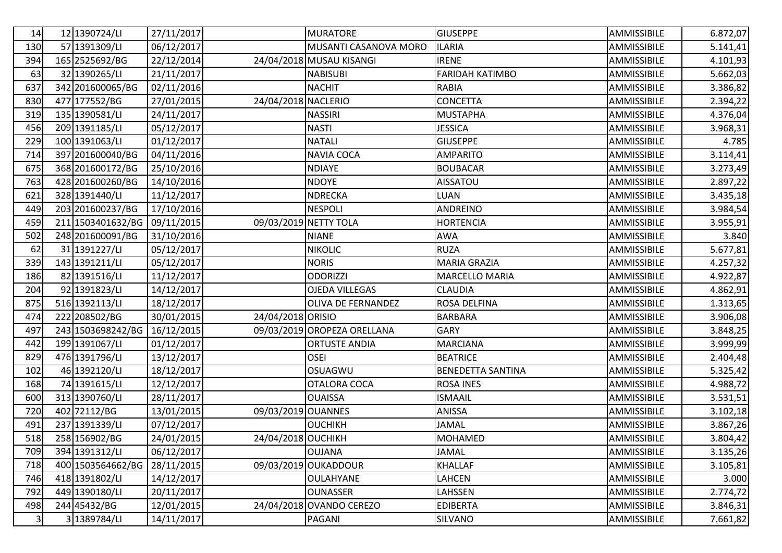| 14                      | 12 1390724/LI     | 27/11/2017 |                     | <b>MURATORE</b>             | <b>GIUSEPPE</b>        | AMMISSIBILE | 6.872,07 |
|-------------------------|-------------------|------------|---------------------|-----------------------------|------------------------|-------------|----------|
| 130                     | 57 1391309/LI     | 06/12/2017 |                     | MUSANTI CASANOVA MORO       | <b>ILARIA</b>          | AMMISSIBILE | 5.141,41 |
| 394                     | 165 2525692/BG    | 22/12/2014 |                     | 24/04/2018 MUSAU KISANGI    | <b>IRENE</b>           | AMMISSIBILE | 4.101,93 |
| 63                      | 32 1390265/LI     | 21/11/2017 |                     | <b>NABISUBI</b>             | <b>FARIDAH KATIMBO</b> | AMMISSIBILE | 5.662,03 |
| 637                     | 342 201600065/BG  | 02/11/2016 |                     | <b>NACHIT</b>               | <b>RABIA</b>           | AMMISSIBILE | 3.386,82 |
| 830                     | 477 177552/BG     | 27/01/2015 | 24/04/2018 NACLERIO |                             | <b>CONCETTA</b>        | AMMISSIBILE | 2.394,22 |
| 319                     | 135 1390581/LI    | 24/11/2017 |                     | <b>NASSIRI</b>              | <b>MUSTAPHA</b>        | AMMISSIBILE | 4.376,04 |
| 456                     | 209 1391185/LI    | 05/12/2017 |                     | <b>NASTI</b>                | <b>JESSICA</b>         | AMMISSIBILE | 3.968,31 |
| 229                     | 100 1391063/LI    | 01/12/2017 |                     | <b>NATALI</b>               | <b>GIUSEPPE</b>        | AMMISSIBILE | 4.785    |
| 714                     | 397 201600040/BG  | 04/11/2016 |                     | <b>NAVIA COCA</b>           | <b>AMPARITO</b>        | AMMISSIBILE | 3.114,41 |
| 675                     | 368 201600172/BG  | 25/10/2016 |                     | <b>NDIAYE</b>               | <b>BOUBACAR</b>        | AMMISSIBILE | 3.273,49 |
| 763                     | 428 201600260/BG  | 14/10/2016 |                     | <b>NDOYE</b>                | AISSATOU               | AMMISSIBILE | 2.897,22 |
| 621                     | 328 1391440/LI    | 11/12/2017 |                     | <b>NDRECKA</b>              | <b>LUAN</b>            | AMMISSIBILE | 3.435,18 |
| 449                     | 203 201600237/BG  | 17/10/2016 |                     | <b>NESPOLI</b>              | ANDREINO               | AMMISSIBILE | 3.984,54 |
| 459                     | 211 1503401632/BG | 09/11/2015 |                     | 09/03/2019 NETTY TOLA       | <b>HORTENCIA</b>       | AMMISSIBILE | 3.955,91 |
| 502                     | 248 201600091/BG  | 31/10/2016 |                     | <b>NIANE</b>                | <b>AWA</b>             | AMMISSIBILE | 3.840    |
| 62                      | 31 1391227/LI     | 05/12/2017 |                     | <b>NIKOLIC</b>              | <b>RUZA</b>            | AMMISSIBILE | 5.677,81 |
| 339                     | 143 1391211/LI    | 05/12/2017 |                     | <b>NORIS</b>                | <b>MARIA GRAZIA</b>    | AMMISSIBILE | 4.257,32 |
| 186                     | 82 1391516/LI     | 11/12/2017 |                     | <b>ODORIZZI</b>             | <b>MARCELLO MARIA</b>  | AMMISSIBILE | 4.922,87 |
| 204                     | 92 1391823/LI     | 14/12/2017 |                     | <b>OJEDA VILLEGAS</b>       | <b>CLAUDIA</b>         | AMMISSIBILE | 4.862,91 |
| 875                     | 516 1392113/LI    | 18/12/2017 |                     | <b>OLIVA DE FERNANDEZ</b>   | ROSA DELFINA           | AMMISSIBILE | 1.313,65 |
| 474                     | 222 208502/BG     | 30/01/2015 | 24/04/2018 ORISIO   |                             | <b>BARBARA</b>         | AMMISSIBILE | 3.906,08 |
| 497                     | 243 1503698242/BG | 16/12/2015 |                     | 09/03/2019 OROPEZA ORELLANA | <b>GARY</b>            | AMMISSIBILE | 3.848,25 |
| 442                     | 199 1391067/LI    | 01/12/2017 |                     | <b>ORTUSTE ANDIA</b>        | <b>MARCIANA</b>        | AMMISSIBILE | 3.999,99 |
| 829                     | 476 1391796/LI    | 13/12/2017 |                     | <b>OSEI</b>                 | <b>BEATRICE</b>        | AMMISSIBILE | 2.404,48 |
| 102                     | 46 1392120/LI     | 18/12/2017 |                     | OSUAGWU                     | BENEDETTA SANTINA      | AMMISSIBILE | 5.325,42 |
| 168                     | 74 1391615/LI     | 12/12/2017 |                     | OTALORA COCA                | <b>ROSA INES</b>       | AMMISSIBILE | 4.988,72 |
| 600                     | 313 1390760/LI    | 28/11/2017 |                     | <b>OUAISSA</b>              | <b>ISMAAIL</b>         | AMMISSIBILE | 3.531,51 |
| 720                     | 402 72112/BG      | 13/01/2015 | 09/03/2019 OUANNES  |                             | ANISSA                 | AMMISSIBILE | 3.102,18 |
| 491                     | 237 1391339/LI    | 07/12/2017 |                     | <b>OUCHIKH</b>              | <b>JAMAL</b>           | AMMISSIBILE | 3.867,26 |
| 518                     | 258 156902/BG     | 24/01/2015 | 24/04/2018 OUCHIKH  |                             | <b>MOHAMED</b>         | AMMISSIBILE | 3.804,42 |
| 709                     | 394 1391312/LI    | 06/12/2017 |                     | <b>OUJANA</b>               | <b>JAMAL</b>           | AMMISSIBILE | 3.135,26 |
| 718                     | 400 1503564662/BG | 28/11/2015 |                     | 09/03/2019 OUKADDOUR        | <b>KHALLAF</b>         | AMMISSIBILE | 3.105,81 |
| 746                     | 418 1391802/LI    | 14/12/2017 |                     | <b>OULAHYANE</b>            | LAHCEN                 | AMMISSIBILE | 3.000    |
| 792                     | 449 1390180/LI    | 20/11/2017 |                     | <b>OUNASSER</b>             | LAHSSEN                | AMMISSIBILE | 2.774,72 |
| 498                     | 244 45432/BG      | 12/01/2015 |                     | 24/04/2018 OVANDO CEREZO    | <b>EDIBERTA</b>        | AMMISSIBILE | 3.846,31 |
| $\overline{\mathbf{3}}$ | 3 1389784/LI      | 14/11/2017 |                     | PAGANI                      | <b>SILVANO</b>         | AMMISSIBILE | 7.661,82 |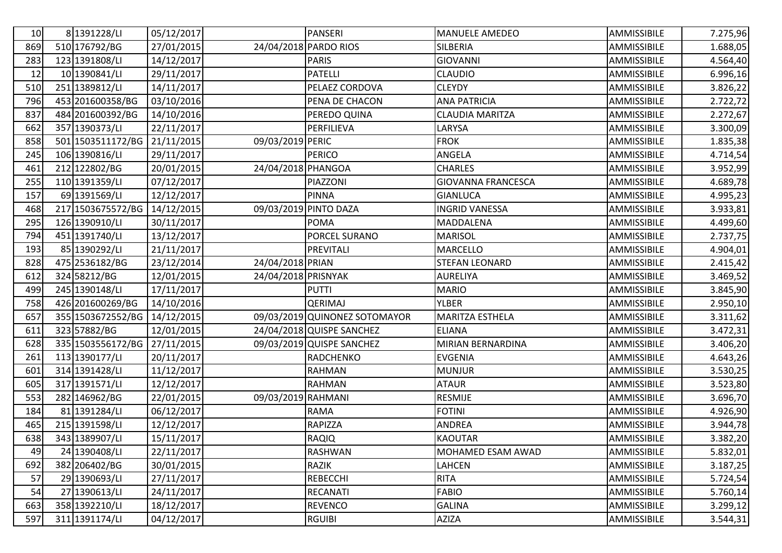| 10  | 8 1391228/LI      | 05/12/2017 |                     | <b>PANSERI</b>                | <b>MANUELE AMEDEO</b>     | AMMISSIBILE | 7.275,96  |
|-----|-------------------|------------|---------------------|-------------------------------|---------------------------|-------------|-----------|
| 869 | 510 176792/BG     | 27/01/2015 |                     | 24/04/2018 PARDO RIOS         | SILBERIA                  | AMMISSIBILE | 1.688,05  |
| 283 | 123 1391808/LI    | 14/12/2017 |                     | <b>PARIS</b>                  | <b>GIOVANNI</b>           | AMMISSIBILE | 4.564,40  |
| 12  | 10 1390841/LI     | 29/11/2017 |                     | <b>PATELLI</b>                | <b>CLAUDIO</b>            | AMMISSIBILE | 6.996,16  |
| 510 | 251 1389812/LI    | 14/11/2017 |                     | PELAEZ CORDOVA                | <b>CLEYDY</b>             | AMMISSIBILE | 3.826,22  |
| 796 | 453 201600358/BG  | 03/10/2016 |                     | PENA DE CHACON                | <b>ANA PATRICIA</b>       | AMMISSIBILE | 2.722,72  |
| 837 | 484 201600392/BG  | 14/10/2016 |                     | PEREDO QUINA                  | <b>CLAUDIA MARITZA</b>    | AMMISSIBILE | 2.272,67  |
| 662 | 357 1390373/LI    | 22/11/2017 |                     | PERFILIEVA                    | LARYSA                    | AMMISSIBILE | 3.300,09  |
| 858 | 501 1503511172/BG | 21/11/2015 | 09/03/2019 PERIC    |                               | <b>FROK</b>               | AMMISSIBILE | 1.835,38  |
| 245 | 106 1390816/LI    | 29/11/2017 |                     | <b>PERICO</b>                 | ANGELA                    | AMMISSIBILE | 4.714,54  |
| 461 | 212 122802/BG     | 20/01/2015 | 24/04/2018 PHANGOA  |                               | <b>CHARLES</b>            | AMMISSIBILE | 3.952,99  |
| 255 | 110 1391359/LI    | 07/12/2017 |                     | PIAZZONI                      | <b>GIOVANNA FRANCESCA</b> | AMMISSIBILE | 4.689,78  |
| 157 | 69 1391569/LI     | 12/12/2017 |                     | <b>PINNA</b>                  | <b>GIANLUCA</b>           | AMMISSIBILE | 4.995,23  |
| 468 | 217 1503675572/BG | 14/12/2015 |                     | 09/03/2019 PINTO DAZA         | <b>INGRID VANESSA</b>     | AMMISSIBILE | 3.933,81  |
| 295 | 126 1390910/LI    | 30/11/2017 |                     | <b>POMA</b>                   | MADDALENA                 | AMMISSIBILE | 4.499,60  |
| 794 | 451 1391740/LI    | 13/12/2017 |                     | PORCEL SURANO                 | <b>MARISOL</b>            | AMMISSIBILE | 2.737,75  |
| 193 | 85 1390292/LI     | 21/11/2017 |                     | PREVITALI                     | MARCELLO                  | AMMISSIBILE | 4.904,01  |
| 828 | 475 2536182/BG    | 23/12/2014 | 24/04/2018 PRIAN    |                               | <b>STEFAN LEONARD</b>     | AMMISSIBILE | 2.415,42  |
| 612 | 324 58212/BG      | 12/01/2015 | 24/04/2018 PRISNYAK |                               | <b>AURELIYA</b>           | AMMISSIBILE | 3.469,52  |
| 499 | 245 1390148/LI    | 17/11/2017 |                     | <b>PUTTI</b>                  | <b>MARIO</b>              | AMMISSIBILE | 3.845,90  |
| 758 | 426 201600269/BG  | 14/10/2016 |                     | <b>QERIMAJ</b>                | <b>YLBER</b>              | AMMISSIBILE | 2.950,10  |
| 657 | 355 1503672552/BG | 14/12/2015 |                     | 09/03/2019 QUINONEZ SOTOMAYOR | MARITZA ESTHELA           | AMMISSIBILE | 3.311,62  |
| 611 | 323 57882/BG      | 12/01/2015 |                     | 24/04/2018 QUISPE SANCHEZ     | <b>ELIANA</b>             | AMMISSIBILE | 3.472, 31 |
| 628 | 335 1503556172/BG | 27/11/2015 |                     | 09/03/2019 QUISPE SANCHEZ     | MIRIAN BERNARDINA         | AMMISSIBILE | 3.406,20  |
| 261 | 113 1390177/LI    | 20/11/2017 |                     | RADCHENKO                     | <b>EVGENIA</b>            | AMMISSIBILE | 4.643,26  |
| 601 | 314 1391428/LI    | 11/12/2017 |                     | <b>RAHMAN</b>                 | <b>MUNJUR</b>             | AMMISSIBILE | 3.530,25  |
| 605 | 317 1391571/LI    | 12/12/2017 |                     | <b>RAHMAN</b>                 | <b>ATAUR</b>              | AMMISSIBILE | 3.523,80  |
| 553 | 282 146962/BG     | 22/01/2015 | 09/03/2019 RAHMANI  |                               | RESMIJE                   | AMMISSIBILE | 3.696,70  |
| 184 | 81 1391284/LI     | 06/12/2017 |                     | <b>RAMA</b>                   | <b>FOTINI</b>             | AMMISSIBILE | 4.926,90  |
| 465 | 215 1391598/LI    | 12/12/2017 |                     | RAPIZZA                       | ANDREA                    | AMMISSIBILE | 3.944,78  |
| 638 | 343 1389907/LI    | 15/11/2017 |                     | <b>RAQIQ</b>                  | <b>KAOUTAR</b>            | AMMISSIBILE | 3.382,20  |
| 49  | 24 1390408/LI     | 22/11/2017 |                     | <b>RASHWAN</b>                | MOHAMED ESAM AWAD         | AMMISSIBILE | 5.832,01  |
| 692 | 382 206402/BG     | 30/01/2015 |                     | RAZIK                         | <b>LAHCEN</b>             | AMMISSIBILE | 3.187,25  |
| 57  | 29 1390693/LI     | 27/11/2017 |                     | <b>REBECCHI</b>               | <b>RITA</b>               | AMMISSIBILE | 5.724,54  |
| 54  | 27 1390613/LI     | 24/11/2017 |                     | <b>RECANATI</b>               | <b>FABIO</b>              | AMMISSIBILE | 5.760,14  |
| 663 | 358 1392210/LI    | 18/12/2017 |                     | <b>REVENCO</b>                | <b>GALINA</b>             | AMMISSIBILE | 3.299, 12 |
| 597 | 311 1391174/LI    | 04/12/2017 |                     | <b>RGUIBI</b>                 | AZIZA                     | AMMISSIBILE | 3.544, 31 |
|     |                   |            |                     |                               |                           |             |           |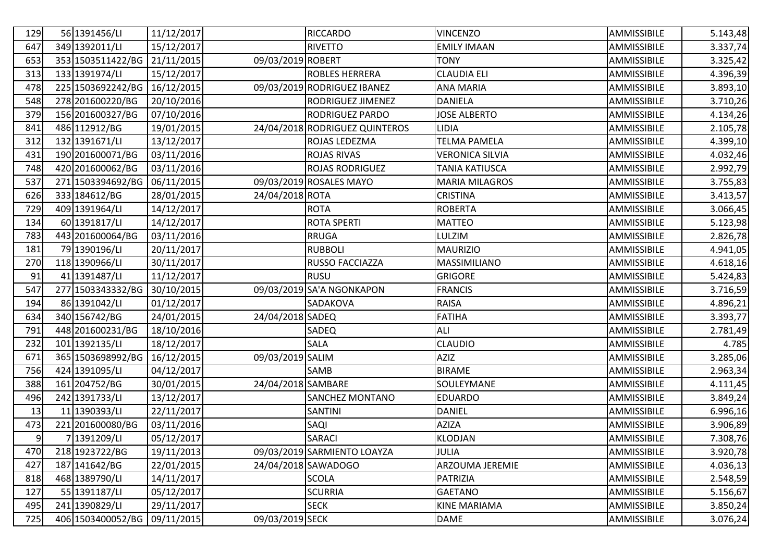| 129 | 56 1391456/LI     | 11/12/2017 |                    | <b>RICCARDO</b>                | <b>VINCENZO</b>        | AMMISSIBILE        | 5.143,48 |
|-----|-------------------|------------|--------------------|--------------------------------|------------------------|--------------------|----------|
| 647 | 349 1392011/LI    | 15/12/2017 |                    | <b>RIVETTO</b>                 | <b>EMILY IMAAN</b>     | AMMISSIBILE        | 3.337,74 |
| 653 | 353 1503511422/BG | 21/11/2015 | 09/03/2019 ROBERT  |                                | TONY                   | AMMISSIBILE        | 3.325,42 |
| 313 | 133 1391974/LI    | 15/12/2017 |                    | ROBLES HERRERA                 | <b>CLAUDIA ELI</b>     | AMMISSIBILE        | 4.396,39 |
| 478 | 225 1503692242/BG | 16/12/2015 |                    | 09/03/2019 RODRIGUEZ IBANEZ    | ANA MARIA              | AMMISSIBILE        | 3.893,10 |
| 548 | 278 201600220/BG  | 20/10/2016 |                    | RODRIGUEZ JIMENEZ              | <b>DANIELA</b>         | AMMISSIBILE        | 3.710,26 |
| 379 | 156 201600327/BG  | 07/10/2016 |                    | <b>RODRIGUEZ PARDO</b>         | <b>JOSE ALBERTO</b>    | AMMISSIBILE        | 4.134,26 |
| 841 | 486 112912/BG     | 19/01/2015 |                    | 24/04/2018 RODRIGUEZ QUINTEROS | <b>LIDIA</b>           | AMMISSIBILE        | 2.105,78 |
| 312 | 132 1391671/LI    | 13/12/2017 |                    | ROJAS LEDEZMA                  | <b>TELMA PAMELA</b>    | AMMISSIBILE        | 4.399,10 |
| 431 | 190 201600071/BG  | 03/11/2016 |                    | <b>ROJAS RIVAS</b>             | <b>VERONICA SILVIA</b> | <b>AMMISSIBILE</b> | 4.032,46 |
| 748 | 420 201600062/BG  | 03/11/2016 |                    | <b>ROJAS RODRIGUEZ</b>         | TANIA KATIUSCA         | <b>AMMISSIBILE</b> | 2.992,79 |
| 537 | 271 1503394692/BG | 06/11/2015 |                    | 09/03/2019 ROSALES MAYO        | <b>MARIA MILAGROS</b>  | AMMISSIBILE        | 3.755,83 |
| 626 | 333 184612/BG     | 28/01/2015 | 24/04/2018 ROTA    |                                | <b>CRISTINA</b>        | AMMISSIBILE        | 3.413,57 |
| 729 | 409 1391964/LI    | 14/12/2017 |                    | <b>ROTA</b>                    | <b>ROBERTA</b>         | AMMISSIBILE        | 3.066,45 |
| 134 | 60 1391817/LI     | 14/12/2017 |                    | <b>ROTA SPERTI</b>             | <b>MATTEO</b>          | AMMISSIBILE        | 5.123,98 |
| 783 | 443 201600064/BG  | 03/11/2016 |                    | <b>RRUGA</b>                   | LULZIM                 | AMMISSIBILE        | 2.826,78 |
| 181 | 79 1390196/LI     | 20/11/2017 |                    | <b>RUBBOLI</b>                 | <b>MAURIZIO</b>        | AMMISSIBILE        | 4.941,05 |
| 270 | 118 1390966/LI    | 30/11/2017 |                    | RUSSO FACCIAZZA                | MASSIMILIANO           | AMMISSIBILE        | 4.618,16 |
| 91  | 41 1391487/LI     | 11/12/2017 |                    | <b>RUSU</b>                    | <b>GRIGORE</b>         | AMMISSIBILE        | 5.424,83 |
| 547 | 277 1503343332/BG | 30/10/2015 |                    | 09/03/2019 SA'A NGONKAPON      | <b>FRANCIS</b>         | AMMISSIBILE        | 3.716,59 |
| 194 | 86 1391042/LI     | 01/12/2017 |                    | SADAKOVA                       | <b>RAISA</b>           | AMMISSIBILE        | 4.896,21 |
| 634 | 340 156742/BG     | 24/01/2015 | 24/04/2018 SADEQ   |                                | <b>FATIHA</b>          | <b>AMMISSIBILE</b> | 3.393,77 |
| 791 | 448 201600231/BG  | 18/10/2016 |                    | SADEQ                          | <b>ALI</b>             | AMMISSIBILE        | 2.781,49 |
| 232 | 101 1392135/LI    | 18/12/2017 |                    | SALA                           | <b>CLAUDIO</b>         | AMMISSIBILE        | 4.785    |
| 671 | 365 1503698992/BG | 16/12/2015 | 09/03/2019 SALIM   |                                | <b>AZIZ</b>            | AMMISSIBILE        | 3.285,06 |
| 756 | 424 1391095/LI    | 04/12/2017 |                    | SAMB                           | <b>BIRAME</b>          | AMMISSIBILE        | 2.963,34 |
| 388 | 161 204752/BG     | 30/01/2015 | 24/04/2018 SAMBARE |                                | SOULEYMANE             | AMMISSIBILE        | 4.111,45 |
| 496 | 242 1391733/LI    | 13/12/2017 |                    | SANCHEZ MONTANO                | <b>EDUARDO</b>         | AMMISSIBILE        | 3.849,24 |
| 13  | 11 1390393/LI     | 22/11/2017 |                    | <b>SANTINI</b>                 | <b>DANIEL</b>          | AMMISSIBILE        | 6.996,16 |
| 473 | 221 201600080/BG  | 03/11/2016 |                    | SAQI                           | <b>AZIZA</b>           | <b>AMMISSIBILE</b> | 3.906,89 |
| 9   | 7 1391209/LI      | 05/12/2017 |                    | <b>SARACI</b>                  | <b>KLODJAN</b>         | AMMISSIBILE        | 7.308,76 |
| 470 | 218 1923722/BG    | 19/11/2013 |                    | 09/03/2019 SARMIENTO LOAYZA    | <b>JULIA</b>           | AMMISSIBILE        | 3.920,78 |
| 427 | 187 141642/BG     | 22/01/2015 |                    | 24/04/2018 SAWADOGO            | ARZOUMA JEREMIE        | AMMISSIBILE        | 4.036,13 |
| 818 | 468 1389790/LI    | 14/11/2017 |                    | <b>SCOLA</b>                   | <b>PATRIZIA</b>        | AMMISSIBILE        | 2.548,59 |
| 127 | 55 1391187/LI     | 05/12/2017 |                    | <b>SCURRIA</b>                 | <b>GAETANO</b>         | AMMISSIBILE        | 5.156,67 |
| 495 | 241 1390829/LI    | 29/11/2017 |                    | <b>SECK</b>                    | <b>KINE MARIAMA</b>    | AMMISSIBILE        | 3.850,24 |
| 725 | 406 1503400052/BG | 09/11/2015 | 09/03/2019 SECK    |                                | <b>DAME</b>            | AMMISSIBILE        | 3.076,24 |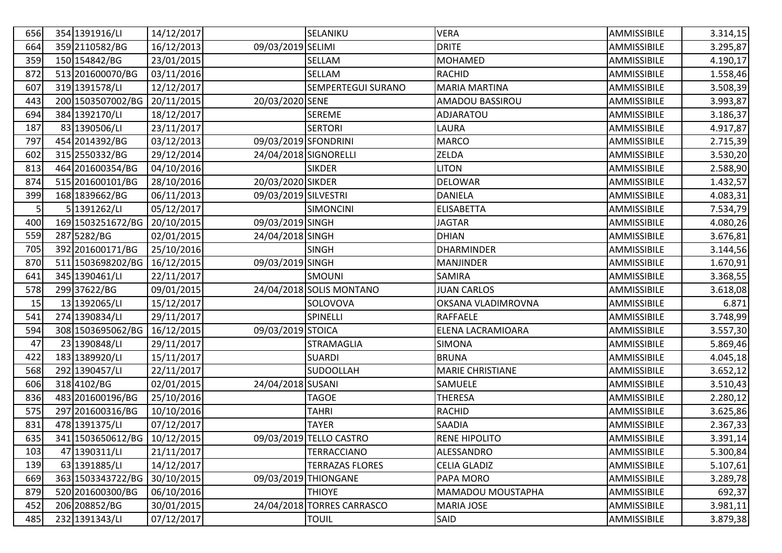| 656 | 354 1391916/LI    | 14/12/2017 |                       | SELANIKU                   | <b>VERA</b>             | AMMISSIBILE | 3.314,15 |
|-----|-------------------|------------|-----------------------|----------------------------|-------------------------|-------------|----------|
| 664 | 359 2110582/BG    | 16/12/2013 | 09/03/2019 SELIMI     |                            | <b>DRITE</b>            | AMMISSIBILE | 3.295,87 |
| 359 | 150 154842/BG     | 23/01/2015 |                       | SELLAM                     | <b>MOHAMED</b>          | AMMISSIBILE | 4.190,17 |
| 872 | 513 201600070/BG  | 03/11/2016 |                       | SELLAM                     | <b>RACHID</b>           | AMMISSIBILE | 1.558,46 |
| 607 | 319 1391578/LI    | 12/12/2017 |                       | SEMPERTEGUI SURANO         | <b>MARIA MARTINA</b>    | AMMISSIBILE | 3.508,39 |
| 443 | 200 1503507002/BG | 20/11/2015 | 20/03/2020 SENE       |                            | AMADOU BASSIROU         | AMMISSIBILE | 3.993,87 |
| 694 | 384 1392170/LI    | 18/12/2017 |                       | <b>SEREME</b>              | ADJARATOU               | AMMISSIBILE | 3.186,37 |
| 187 | 83 1390506/LI     | 23/11/2017 |                       | <b>SERTORI</b>             | LAURA                   | AMMISSIBILE | 4.917,87 |
| 797 | 454 2014392/BG    | 03/12/2013 | 09/03/2019 SFONDRINI  |                            | <b>MARCO</b>            | AMMISSIBILE | 2.715,39 |
| 602 | 315 2550332/BG    | 29/12/2014 | 24/04/2018 SIGNORELLI |                            | ZELDA                   | AMMISSIBILE | 3.530,20 |
| 813 | 464 201600354/BG  | 04/10/2016 |                       | <b>SIKDER</b>              | <b>LITON</b>            | AMMISSIBILE | 2.588,90 |
| 874 | 515 201600101/BG  | 28/10/2016 | 20/03/2020 SIKDER     |                            | <b>DELOWAR</b>          | AMMISSIBILE | 1.432,57 |
| 399 | 168 1839662/BG    | 06/11/2013 | 09/03/2019 SILVESTRI  |                            | <b>DANIELA</b>          | AMMISSIBILE | 4.083,31 |
| 5   | 5 1391262/LI      | 05/12/2017 |                       | <b>SIMONCINI</b>           | <b>ELISABETTA</b>       | AMMISSIBILE | 7.534,79 |
| 400 | 169 1503251672/BG | 20/10/2015 | 09/03/2019 SINGH      |                            | <b>JAGTAR</b>           | AMMISSIBILE | 4.080,26 |
| 559 | 287 5282/BG       | 02/01/2015 | 24/04/2018 SINGH      |                            | <b>DHIAN</b>            | AMMISSIBILE | 3.676,81 |
| 705 | 392 201600171/BG  | 25/10/2016 |                       | <b>SINGH</b>               | <b>DHARMINDER</b>       | AMMISSIBILE | 3.144,56 |
| 870 | 511 1503698202/BG | 16/12/2015 | 09/03/2019 SINGH      |                            | <b>MANJINDER</b>        | AMMISSIBILE | 1.670,91 |
| 641 | 345 1390461/LI    | 22/11/2017 |                       | <b>SMOUNI</b>              | SAMIRA                  | AMMISSIBILE | 3.368,55 |
| 578 | 299 37622/BG      | 09/01/2015 |                       | 24/04/2018 SOLIS MONTANO   | <b>JUAN CARLOS</b>      | AMMISSIBILE | 3.618,08 |
| 15  | 13 1392065/LI     | 15/12/2017 |                       | SOLOVOVA                   | OKSANA VLADIMROVNA      | AMMISSIBILE | 6.871    |
| 541 | 274 1390834/LI    | 29/11/2017 |                       | SPINELLI                   | RAFFAELE                | AMMISSIBILE | 3.748,99 |
| 594 | 308 1503695062/BG | 16/12/2015 | 09/03/2019 STOICA     |                            | ELENA LACRAMIOARA       | AMMISSIBILE | 3.557,30 |
| 47  | 23 1390848/LI     | 29/11/2017 |                       | STRAMAGLIA                 | <b>SIMONA</b>           | AMMISSIBILE | 5.869,46 |
| 422 | 183 1389920/LI    | 15/11/2017 |                       | <b>SUARDI</b>              | <b>BRUNA</b>            | AMMISSIBILE | 4.045,18 |
| 568 | 292 1390457/LI    | 22/11/2017 |                       | <b>SUDOOLLAH</b>           | <b>MARIE CHRISTIANE</b> | AMMISSIBILE | 3.652,12 |
| 606 | 318 4102/BG       | 02/01/2015 | 24/04/2018 SUSANI     |                            | SAMUELE                 | AMMISSIBILE | 3.510,43 |
| 836 | 483 201600196/BG  | 25/10/2016 |                       | <b>TAGOE</b>               | <b>THERESA</b>          | AMMISSIBILE | 2.280,12 |
| 575 | 297 201600316/BG  | 10/10/2016 |                       | TAHRI                      | <b>RACHID</b>           | AMMISSIBILE | 3.625,86 |
| 831 | 478 1391375/LI    | 07/12/2017 |                       | <b>TAYER</b>               | SAADIA                  | AMMISSIBILE | 2.367,33 |
| 635 | 341 1503650612/BG | 10/12/2015 |                       | 09/03/2019 TELLO CASTRO    | <b>RENE HIPOLITO</b>    | AMMISSIBILE | 3.391,14 |
| 103 | 47 1390311/LI     | 21/11/2017 |                       | <b>TERRACCIANO</b>         | ALESSANDRO              | AMMISSIBILE | 5.300,84 |
| 139 | 63 1391885/LI     | 14/12/2017 |                       | <b>TERRAZAS FLORES</b>     | <b>CELIA GLADIZ</b>     | AMMISSIBILE | 5.107,61 |
| 669 | 363 1503343722/BG | 30/10/2015 |                       | 09/03/2019 THIONGANE       | PAPA MORO               | AMMISSIBILE | 3.289,78 |
| 879 | 520 201600300/BG  | 06/10/2016 |                       | <b>THIOYE</b>              | MAMADOU MOUSTAPHA       | AMMISSIBILE | 692,37   |
| 452 | 206 208852/BG     | 30/01/2015 |                       | 24/04/2018 TORRES CARRASCO | <b>MARIA JOSE</b>       | AMMISSIBILE | 3.981,11 |
| 485 | 232 1391343/LI    | 07/12/2017 |                       | <b>TOUIL</b>               | SAID                    | AMMISSIBILE | 3.879,38 |
|     |                   |            |                       |                            |                         |             |          |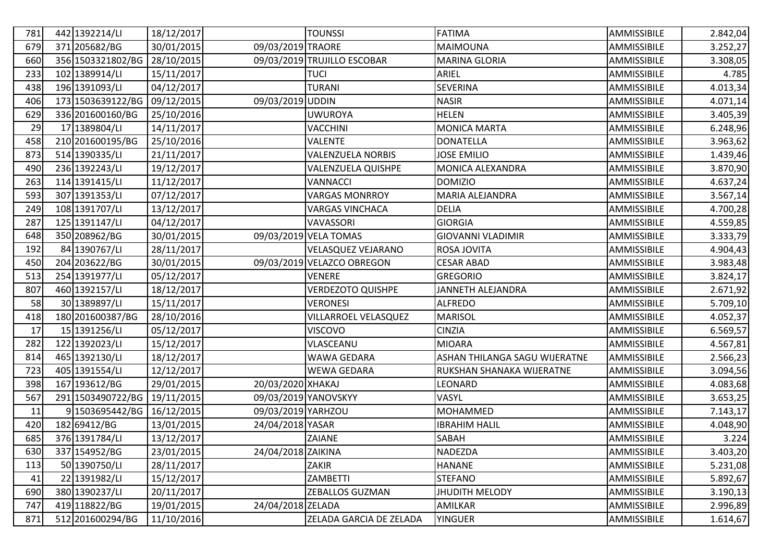| 781 | 442 1392214/LI    | 18/12/2017 |                    | <b>TOUNSSI</b>              | <b>FATIMA</b>                 | AMMISSIBILE | 2.842,04 |
|-----|-------------------|------------|--------------------|-----------------------------|-------------------------------|-------------|----------|
| 679 | 371 205682/BG     | 30/01/2015 | 09/03/2019 TRAORE  |                             | MAIMOUNA                      | AMMISSIBILE | 3.252,27 |
| 660 | 356 1503321802/BG | 28/10/2015 |                    | 09/03/2019 TRUJILLO ESCOBAR | <b>MARINA GLORIA</b>          | AMMISSIBILE | 3.308,05 |
| 233 | 102 1389914/LI    | 15/11/2017 |                    | <b>TUCI</b>                 | ARIEL                         | AMMISSIBILE | 4.785    |
| 438 | 196 1391093/LI    | 04/12/2017 |                    | <b>TURANI</b>               | <b>SEVERINA</b>               | AMMISSIBILE | 4.013,34 |
| 406 | 173 1503639122/BG | 09/12/2015 | 09/03/2019 UDDIN   |                             | <b>NASIR</b>                  | AMMISSIBILE | 4.071,14 |
| 629 | 336 201600160/BG  | 25/10/2016 |                    | <b>UWUROYA</b>              | <b>HELEN</b>                  | AMMISSIBILE | 3.405,39 |
| 29  | 17 1389804/LI     | 14/11/2017 |                    | <b>VACCHINI</b>             | <b>MONICA MARTA</b>           | AMMISSIBILE | 6.248,96 |
| 458 | 210 201600195/BG  | 25/10/2016 |                    | <b>VALENTE</b>              | <b>DONATELLA</b>              | AMMISSIBILE | 3.963,62 |
| 873 | 514 1390335/LI    | 21/11/2017 |                    | <b>VALENZUELA NORBIS</b>    | <b>JOSE EMILIO</b>            | AMMISSIBILE | 1.439,46 |
| 490 | 236 1392243/LI    | 19/12/2017 |                    | <b>VALENZUELA QUISHPE</b>   | MONICA ALEXANDRA              | AMMISSIBILE | 3.870,90 |
| 263 | 114 1391415/LI    | 11/12/2017 |                    | VANNACCI                    | <b>DOMIZIO</b>                | AMMISSIBILE | 4.637,24 |
| 593 | 307 1391353/LI    | 07/12/2017 |                    | <b>VARGAS MONRROY</b>       | MARIA ALEJANDRA               | AMMISSIBILE | 3.567,14 |
| 249 | 108 1391707/LI    | 13/12/2017 |                    | <b>VARGAS VINCHACA</b>      | <b>DELIA</b>                  | AMMISSIBILE | 4.700,28 |
| 287 | 125 1391147/LI    | 04/12/2017 |                    | VAVASSORI                   | <b>GIORGIA</b>                | AMMISSIBILE | 4.559,85 |
| 648 | 350 208962/BG     | 30/01/2015 |                    | 09/03/2019 VELA TOMAS       | <b>GIOVANNI VLADIMIR</b>      | AMMISSIBILE | 3.333,79 |
| 192 | 84 1390767/LI     | 28/11/2017 |                    | <b>VELASQUEZ VEJARANO</b>   | ROSA JOVITA                   | AMMISSIBILE | 4.904,43 |
| 450 | 204 203622/BG     | 30/01/2015 |                    | 09/03/2019 VELAZCO OBREGON  | <b>CESAR ABAD</b>             | AMMISSIBILE | 3.983,48 |
| 513 | 254 1391977/LI    | 05/12/2017 |                    | <b>VENERE</b>               | <b>GREGORIO</b>               | AMMISSIBILE | 3.824,17 |
| 807 | 460 1392157/LI    | 18/12/2017 |                    | <b>VERDEZOTO QUISHPE</b>    | JANNETH ALEJANDRA             | AMMISSIBILE | 2.671,92 |
| 58  | 30 1389897/LI     | 15/11/2017 |                    | <b>VERONESI</b>             | <b>ALFREDO</b>                | AMMISSIBILE | 5.709,10 |
| 418 | 180 201600387/BG  | 28/10/2016 |                    | VILLARROEL VELASQUEZ        | <b>MARISOL</b>                | AMMISSIBILE | 4.052,37 |
| 17  | 15 1391256/LI     | 05/12/2017 |                    | <b>VISCOVO</b>              | <b>CINZIA</b>                 | AMMISSIBILE | 6.569,57 |
| 282 | 122 1392023/LI    | 15/12/2017 |                    | VLASCEANU                   | <b>MIOARA</b>                 | AMMISSIBILE | 4.567,81 |
| 814 | 465 1392130/LI    | 18/12/2017 |                    | WAWA GEDARA                 | ASHAN THILANGA SAGU WIJERATNE | AMMISSIBILE | 2.566,23 |
| 723 | 405 1391554/LI    | 12/12/2017 |                    | <b>WEWA GEDARA</b>          | RUKSHAN SHANAKA WIJERATNE     | AMMISSIBILE | 3.094,56 |
| 398 | 167 193612/BG     | 29/01/2015 | 20/03/2020 XHAKAJ  |                             | LEONARD                       | AMMISSIBILE | 4.083,68 |
| 567 | 291 1503490722/BG | 19/11/2015 |                    | 09/03/2019 YANOVSKYY        | VASYL                         | AMMISSIBILE | 3.653,25 |
| 11  | 91503695442/BG    | 16/12/2015 | 09/03/2019 YARHZOU |                             | MOHAMMED                      | AMMISSIBILE | 7.143,17 |
| 420 | 182 69412/BG      | 13/01/2015 | 24/04/2018 YASAR   |                             | <b>IBRAHIM HALIL</b>          | AMMISSIBILE | 4.048,90 |
| 685 | 376 1391784/LI    | 13/12/2017 |                    | ZAIANE                      | SABAH                         | AMMISSIBILE | 3.224    |
| 630 | 337 154952/BG     | 23/01/2015 | 24/04/2018 ZAIKINA |                             | NADEZDA                       | AMMISSIBILE | 3.403,20 |
| 113 | 50 1390750/LI     | 28/11/2017 |                    | ZAKIR                       | <b>HANANE</b>                 | AMMISSIBILE | 5.231,08 |
| 41  | 22 1391982/LI     | 15/12/2017 |                    | ZAMBETTI                    | <b>STEFANO</b>                | AMMISSIBILE | 5.892,67 |
| 690 | 380 1390237/LI    | 20/11/2017 |                    | ZEBALLOS GUZMAN             | <b>JHUDITH MELODY</b>         | AMMISSIBILE | 3.190,13 |
| 747 | 419 118822/BG     | 19/01/2015 | 24/04/2018 ZELADA  |                             | AMILKAR                       | AMMISSIBILE | 2.996,89 |
| 871 | 512 201600294/BG  | 11/10/2016 |                    | ZELADA GARCIA DE ZELADA     | <b>YINGUER</b>                | AMMISSIBILE | 1.614,67 |